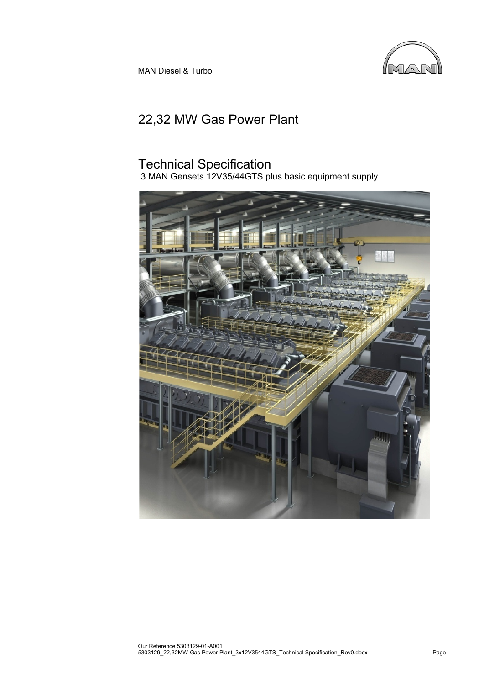

MAN Diesel & Turbo

# 22,32 MW Gas Power Plant

# Technical Specification

3 MAN Gensets 12V35/44GTS plus basic equipment supply

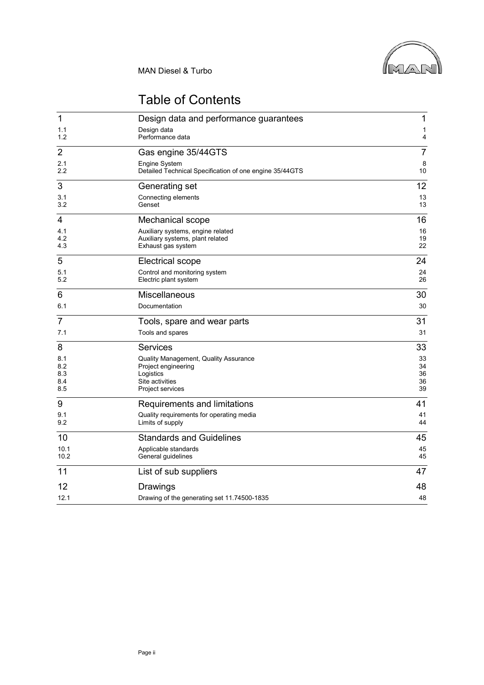

# Table of Contents

| $\mathbf{1}$      | Design data and performance guarantees                                                      | 1              |
|-------------------|---------------------------------------------------------------------------------------------|----------------|
| 1.1<br>1.2        | Design data<br>Performance data                                                             | 1<br>4         |
| $\overline{2}$    | Gas engine 35/44GTS                                                                         | $\overline{7}$ |
| 2.1<br>$2.2\,$    | Engine System<br>Detailed Technical Specification of one engine 35/44GTS                    | 8<br>10        |
| 3                 | Generating set                                                                              | 12             |
| 3.1<br>3.2        | Connecting elements<br>Genset                                                               | 13<br>13       |
| 4                 | Mechanical scope                                                                            | 16             |
| 4.1<br>4.2<br>4.3 | Auxiliary systems, engine related<br>Auxiliary systems, plant related<br>Exhaust gas system | 16<br>19<br>22 |
| 5                 | Electrical scope                                                                            | 24             |
| 5.1<br>5.2        | Control and monitoring system<br>Electric plant system                                      | 24<br>26       |
| 6                 | Miscellaneous                                                                               | 30             |
| 6.1               | Documentation                                                                               | 30             |
| $\overline{7}$    | Tools, spare and wear parts                                                                 | 31             |
| 7.1               | Tools and spares                                                                            | 31             |
| 8                 | <b>Services</b>                                                                             | 33             |
| 8.1<br>8.2        | Quality Management, Quality Assurance<br>Project engineering                                | 33<br>34       |
| 8.3               | Logistics                                                                                   | 36             |
| 8.4<br>8.5        | Site activities<br>Project services                                                         | 36<br>39       |
| 9                 | Requirements and limitations                                                                | 41             |
| 9.1<br>9.2        | Quality requirements for operating media<br>Limits of supply                                | 41<br>44       |
| 10                | <b>Standards and Guidelines</b>                                                             | 45             |
| 10.1<br>10.2      | Applicable standards<br>General guidelines                                                  | 45<br>45       |
| 11                | List of sub suppliers                                                                       | 47             |
| 12                | Drawings                                                                                    | 48             |
| 12.1              | Drawing of the generating set 11.74500-1835                                                 | 48             |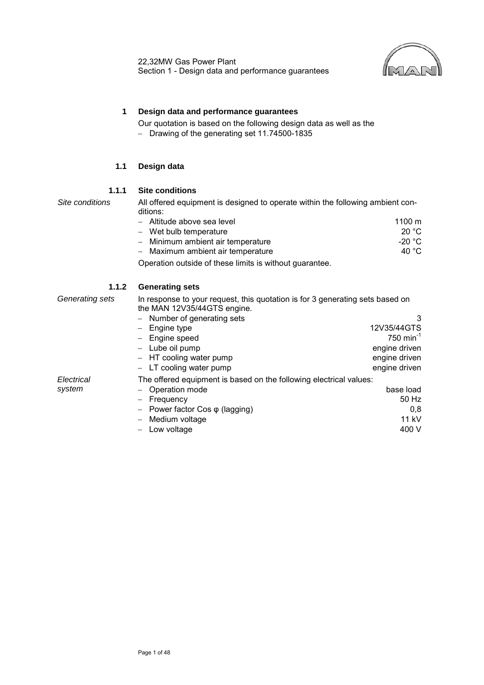

## <span id="page-2-0"></span>**1 Design data and performance guarantees**

Our quotation is based on the following design data as well as the − [Drawing of the generating set 11.74500-1835](#page-49-1)

#### **1.1 Design data**

#### **1.1.1 Site conditions**

<span id="page-2-1"></span>*Site conditions* All offered equipment is designed to operate within the following ambient conditions:

| - Altitude above sea level        | $1100 \; \mathrm{m}$ |
|-----------------------------------|----------------------|
| - Wet bulb temperature            | 20 $\degree$ C       |
| - Minimum ambient air temperature | -20 °C               |
| - Maximum ambient air temperature | 40 $^{\circ}$ C      |
|                                   |                      |

Operation outside of these limits is without guarantee.

#### **1.1.2 Generating sets**

*Generating sets* In response to your request, this quotation is for 3 generating sets based on the MAN 12V35/44GTS engine. − Number of generating sets 3 − Engine type 12V35/44GTS<br>
− Engine speed 12V35/44GTS − Engine speed 750 min-1 − Lube oil pump engine driven − HT cooling water pump engine driven − LT cooling water pump engine driven *Electrical system* The offered equipment is based on the following electrical values: − Operation mode base load − Frequency 50 Hz − Power factor Cos φ (lagging) 0,8 − Medium voltage − Low voltage 400 V

Page 1 of 48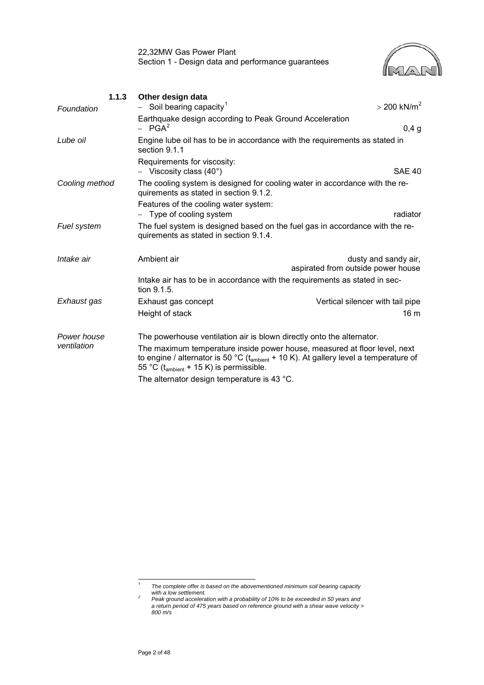

<span id="page-3-2"></span>

| 1.1.3<br>Foundation | Other design data<br>Soil bearing capacity <sup>1</sup>                                                                                                                                                                                | $>$ 200 kN/m <sup>2</sup>                                  |
|---------------------|----------------------------------------------------------------------------------------------------------------------------------------------------------------------------------------------------------------------------------------|------------------------------------------------------------|
|                     | Earthquake design according to Peak Ground Acceleration<br>$-$ PGA <sup>2</sup>                                                                                                                                                        | 0,4,9                                                      |
| Lube oil            | Engine lube oil has to be in accordance with the requirements as stated in<br>section 9.1.1                                                                                                                                            |                                                            |
|                     | Requirements for viscosity:<br>$-$ Viscosity class (40 $^{\circ}$ )                                                                                                                                                                    | <b>SAE 40</b>                                              |
| Cooling method      | The cooling system is designed for cooling water in accordance with the re-<br>quirements as stated in section 9.1.2.                                                                                                                  |                                                            |
|                     | Features of the cooling water system:<br>- Type of cooling system                                                                                                                                                                      | radiator                                                   |
| Fuel system         | The fuel system is designed based on the fuel gas in accordance with the re-<br>quirements as stated in section 9.1.4.                                                                                                                 |                                                            |
| Intake air          | Ambient air                                                                                                                                                                                                                            | dusty and sandy air,<br>aspirated from outside power house |
|                     | Intake air has to be in accordance with the requirements as stated in sec-<br>tion 9.1.5.                                                                                                                                              |                                                            |
| Exhaust gas         | Exhaust gas concept<br>Height of stack                                                                                                                                                                                                 | Vertical silencer with tail pipe<br>16 <sub>m</sub>        |
| Power house         | The powerhouse ventilation air is blown directly onto the alternator.                                                                                                                                                                  |                                                            |
| ventilation         | The maximum temperature inside power house, measured at floor level, next<br>to engine / alternator is 50 °C ( $t_{\text{ambient}}$ + 10 K). At gallery level a temperature of<br>55 °C ( $t_{\text{ambient}}$ + 15 K) is permissible. |                                                            |
|                     | The alternator design temperature is 43 °C.                                                                                                                                                                                            |                                                            |

<span id="page-3-0"></span><sup>|&</sup>lt;br>1 *The complete offer is based on the abovementioned minimum soil bearing capacity*

<span id="page-3-1"></span>*with a low settlement. 2 Peak ground acceleration with a probability of 10% to be exceeded in 50 years and a return period of 475 years based on reference ground with a shear wave velocity > 800 m/s*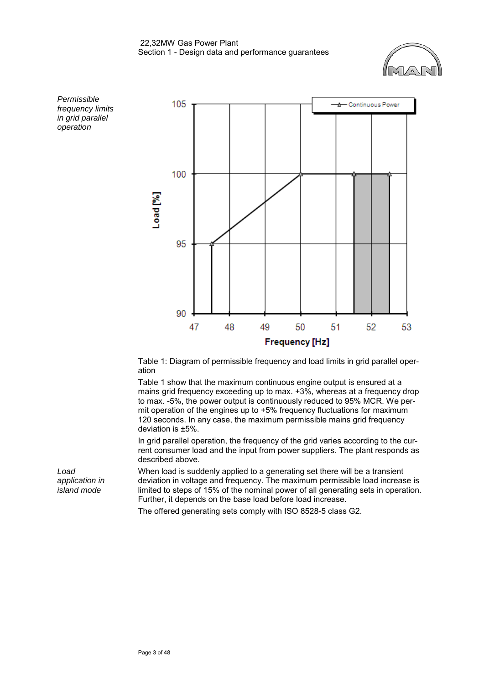



Table 1: Diagram of permissible frequency and load limits in grid parallel operation

Table 1 show that the maximum continuous engine output is ensured at a mains grid frequency exceeding up to max. +3%, whereas at a frequency drop to max. -5%, the power output is continuously reduced to 95% MCR. We permit operation of the engines up to +5% frequency fluctuations for maximum 120 seconds. In any case, the maximum permissible mains grid frequency deviation is ±5%.

In grid parallel operation, the frequency of the grid varies according to the current consumer load and the input from power suppliers. The plant responds as described above.

When load is suddenly applied to a generating set there will be a transient deviation in voltage and frequency. The maximum permissible load increase is limited to steps of 15% of the nominal power of all generating sets in operation. Further, it depends on the base load before load increase.

The offered generating sets comply with ISO 8528-5 class G2.

*in grid parallel operation*

*Load application in island mode*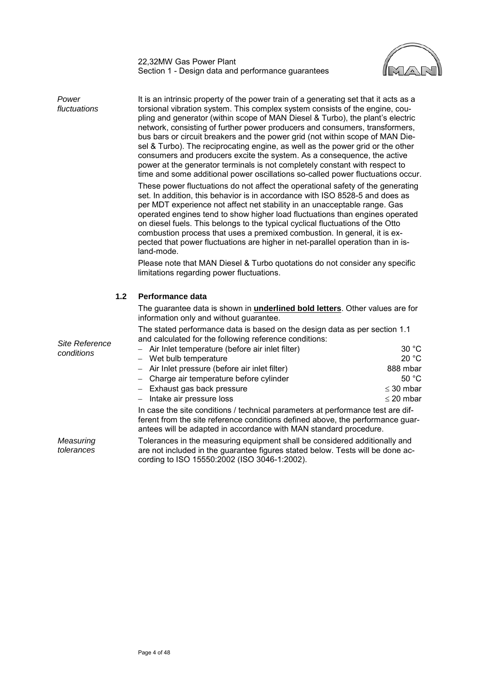

| Power<br>fluctuations   | It is an intrinsic property of the power train of a generating set that it acts as a<br>torsional vibration system. This complex system consists of the engine, cou-<br>pling and generator (within scope of MAN Diesel & Turbo), the plant's electric<br>network, consisting of further power producers and consumers, transformers,<br>bus bars or circuit breakers and the power grid (not within scope of MAN Die-<br>sel & Turbo). The reciprocating engine, as well as the power grid or the other<br>consumers and producers excite the system. As a consequence, the active<br>power at the generator terminals is not completely constant with respect to<br>time and some additional power oscillations so-called power fluctuations occur.<br>These power fluctuations do not affect the operational safety of the generating<br>set. In addition, this behavior is in accordance with ISO 8528-5 and does as<br>per MDT experience not affect net stability in an unacceptable range. Gas<br>operated engines tend to show higher load fluctuations than engines operated<br>on diesel fuels. This belongs to the typical cyclical fluctuations of the Otto<br>combustion process that uses a premixed combustion. In general, it is ex-<br>pected that power fluctuations are higher in net-parallel operation than in is-<br>land-mode.<br>Please note that MAN Diesel & Turbo quotations do not consider any specific<br>limitations regarding power fluctuations. |                |
|-------------------------|-----------------------------------------------------------------------------------------------------------------------------------------------------------------------------------------------------------------------------------------------------------------------------------------------------------------------------------------------------------------------------------------------------------------------------------------------------------------------------------------------------------------------------------------------------------------------------------------------------------------------------------------------------------------------------------------------------------------------------------------------------------------------------------------------------------------------------------------------------------------------------------------------------------------------------------------------------------------------------------------------------------------------------------------------------------------------------------------------------------------------------------------------------------------------------------------------------------------------------------------------------------------------------------------------------------------------------------------------------------------------------------------------------------------------------------------------------------------------------------|----------------|
| 1.2                     | Performance data                                                                                                                                                                                                                                                                                                                                                                                                                                                                                                                                                                                                                                                                                                                                                                                                                                                                                                                                                                                                                                                                                                                                                                                                                                                                                                                                                                                                                                                                  |                |
|                         | The guarantee data is shown in <i>underlined bold letters</i> . Other values are for<br>information only and without guarantee.                                                                                                                                                                                                                                                                                                                                                                                                                                                                                                                                                                                                                                                                                                                                                                                                                                                                                                                                                                                                                                                                                                                                                                                                                                                                                                                                                   |                |
|                         | The stated performance data is based on the design data as per section 1.1<br>and calculated for the following reference conditions:                                                                                                                                                                                                                                                                                                                                                                                                                                                                                                                                                                                                                                                                                                                                                                                                                                                                                                                                                                                                                                                                                                                                                                                                                                                                                                                                              |                |
| <b>Site Reference</b>   |                                                                                                                                                                                                                                                                                                                                                                                                                                                                                                                                                                                                                                                                                                                                                                                                                                                                                                                                                                                                                                                                                                                                                                                                                                                                                                                                                                                                                                                                                   | 30 °C          |
| conditions              | - Air Inlet temperature (before air inlet filter)                                                                                                                                                                                                                                                                                                                                                                                                                                                                                                                                                                                                                                                                                                                                                                                                                                                                                                                                                                                                                                                                                                                                                                                                                                                                                                                                                                                                                                 |                |
|                         | - Wet bulb temperature                                                                                                                                                                                                                                                                                                                                                                                                                                                                                                                                                                                                                                                                                                                                                                                                                                                                                                                                                                                                                                                                                                                                                                                                                                                                                                                                                                                                                                                            | 20 °C          |
|                         | - Air Inlet pressure (before air inlet filter)                                                                                                                                                                                                                                                                                                                                                                                                                                                                                                                                                                                                                                                                                                                                                                                                                                                                                                                                                                                                                                                                                                                                                                                                                                                                                                                                                                                                                                    | 888 mbar       |
|                         | - Charge air temperature before cylinder                                                                                                                                                                                                                                                                                                                                                                                                                                                                                                                                                                                                                                                                                                                                                                                                                                                                                                                                                                                                                                                                                                                                                                                                                                                                                                                                                                                                                                          | 50 °C          |
|                         | - Exhaust gas back pressure                                                                                                                                                                                                                                                                                                                                                                                                                                                                                                                                                                                                                                                                                                                                                                                                                                                                                                                                                                                                                                                                                                                                                                                                                                                                                                                                                                                                                                                       | $\leq$ 30 mbar |
|                         | Intake air pressure loss<br>-                                                                                                                                                                                                                                                                                                                                                                                                                                                                                                                                                                                                                                                                                                                                                                                                                                                                                                                                                                                                                                                                                                                                                                                                                                                                                                                                                                                                                                                     | $\leq$ 20 mbar |
|                         | In case the site conditions / technical parameters at performance test are dif-<br>ferent from the site reference conditions defined above, the performance guar-<br>antees will be adapted in accordance with MAN standard procedure.                                                                                                                                                                                                                                                                                                                                                                                                                                                                                                                                                                                                                                                                                                                                                                                                                                                                                                                                                                                                                                                                                                                                                                                                                                            |                |
| Measuring<br>tolerances | Tolerances in the measuring equipment shall be considered additionally and<br>are not included in the quarantee figures stated below. Tests will be done ac-                                                                                                                                                                                                                                                                                                                                                                                                                                                                                                                                                                                                                                                                                                                                                                                                                                                                                                                                                                                                                                                                                                                                                                                                                                                                                                                      |                |

<span id="page-5-0"></span>*tolerances*

are not included in the guarantee figures stated below. Tests will be done according to ISO 15550:2002 (ISO 3046-1:2002).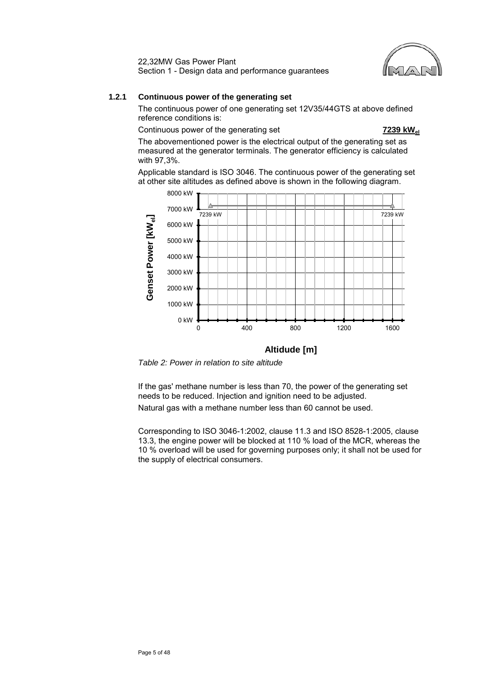

## **1.2.1 Continuous power of the generating set**

The continuous power of one generating set 12V35/44GTS at above defined reference conditions is:

Continuous power of the generating set **7239 kWel**

The abovementioned power is the electrical output of the generating set as measured at the generator terminals. The generator efficiency is calculated with 97,3%.

Applicable standard is ISO 3046. The continuous power of the generating set at other site altitudes as defined above is shown in the following diagram.



## **Altidude [m]**

*Table 2: Power in relation to site altitude*

If the gas' methane number is less than 70, the power of the generating set needs to be reduced. Injection and ignition need to be adjusted. Natural gas with a methane number less than 60 cannot be used.

Corresponding to ISO 3046-1:2002, clause 11.3 and ISO 8528-1:2005, clause 13.3, the engine power will be blocked at 110 % load of the MCR, whereas the 10 % overload will be used for governing purposes only; it shall not be used for the supply of electrical consumers.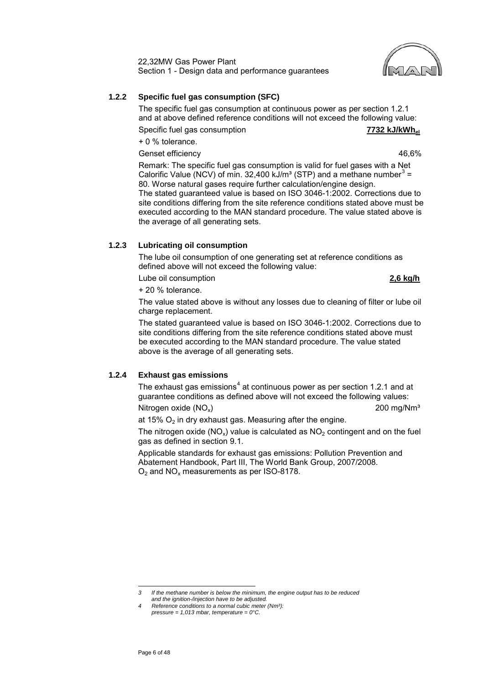## **1.2.2 Specific fuel gas consumption (SFC)**

The specific fuel gas consumption at continuous power as per section 1.2.1 and at above defined reference conditions will not exceed the following value:

Specific fuel gas consumption **7732 kJ/kWhel**

+ 0 % tolerance.

Genset efficiency and the set of the set of the set of the set of the set of the set of the set of the set of the set of the set of the set of the set of the set of the set of the set of the set of the set of the set of th

Remark: The specific fuel gas consumption is valid for fuel gases with a Net Calorific Value (NCV) of min. [3](#page-7-0)2,400 kJ/m<sup>3</sup> (STP) and a methane number<sup>3</sup> = 80. Worse natural gases require further calculation/engine design. The stated guaranteed value is based on ISO 3046-1:2002. Corrections due to site conditions differing from the site reference conditions stated above must be executed according to the MAN standard procedure. The value stated above is

## **1.2.3 Lubricating oil consumption**

the average of all generating sets.

The lube oil consumption of one generating set at reference conditions as defined above will not exceed the following value:

Lube oil consumption **2,6 kg/h**

+ 20 % tolerance.

The value stated above is without any losses due to cleaning of filter or lube oil charge replacement.

The stated guaranteed value is based on ISO 3046-1:2002. Corrections due to site conditions differing from the site reference conditions stated above must be executed according to the MAN standard procedure. The value stated above is the average of all generating sets.

## **1.2.4 Exhaust gas emissions**

The exhaust gas emissions<sup>[4](#page-7-1)</sup> at continuous power as per section 1.2.1 and at guarantee conditions as defined above will not exceed the following values:

Nitrogen oxide  $(NO_x)$  200 mg/Nm<sup>3</sup>

at 15%  $O<sub>2</sub>$  in dry exhaust gas. Measuring after the engine.

The nitrogen oxide (NO<sub>x</sub>) value is calculated as  $NO<sub>2</sub>$  contingent and on the fuel gas as defined in section [9.1.](#page-42-1)

Applicable standards for exhaust gas emissions: Pollution Prevention and Abatement Handbook, Part III, The World Bank Group, 2007/2008.  $O<sub>2</sub>$  and NO<sub>x</sub> measurements as per ISO-8178.

<span id="page-7-0"></span>*3 If the methane number is below the minimum, the engine output has to be reduced and the ignition-/injection have to be adjusted.*

<span id="page-7-1"></span>*<sup>4</sup> Reference conditions to a normal cubic meter (Nm³): pressure = 1,013 mbar, temperature = 0°C.*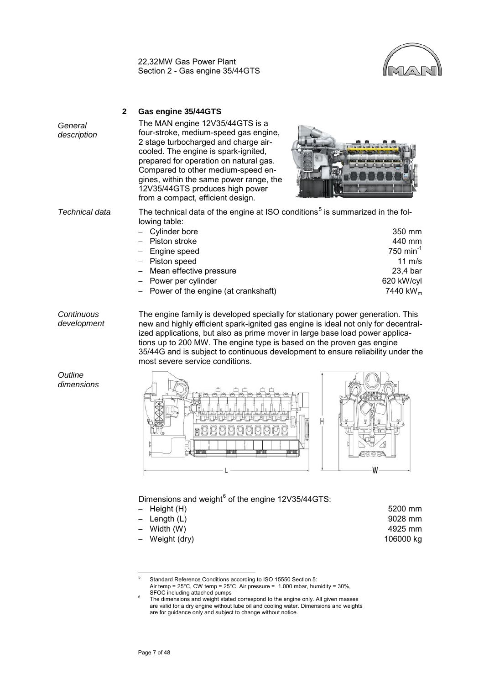

<span id="page-8-0"></span>

| General<br>description | $\mathbf{2}$ | Gas engine 35/44GTS<br>The MAN engine 12V35/44GTS is a<br>four-stroke, medium-speed gas engine,<br>2 stage turbocharged and charge air-<br>cooled. The engine is spark-ignited,<br>prepared for operation on natural gas.<br>Compared to other medium-speed en-<br>gines, within the same power range, the<br>12V35/44GTS produces high power<br>from a compact, efficient design. |                                                                                                         |
|------------------------|--------------|------------------------------------------------------------------------------------------------------------------------------------------------------------------------------------------------------------------------------------------------------------------------------------------------------------------------------------------------------------------------------------|---------------------------------------------------------------------------------------------------------|
| Technical data         |              | The technical data of the engine at ISO conditions <sup>5</sup> is summarized in the fol-<br>lowing table:<br>- Cylinder bore<br>- Piston stroke<br>Engine speed<br>- Piston speed<br>Mean effective pressure<br>Power per cylinder<br>Power of the engine (at crankshaft)                                                                                                         | 350 mm<br>440 mm<br>750 min <sup>-1</sup><br>11 $m/s$<br>23,4 bar<br>620 kW/cyl<br>7440 kW <sub>m</sub> |

*Continuous development* The engine family is developed specially for stationary power generation. This new and highly efficient spark-ignited gas engine is ideal not only for decentralized applications, but also as prime mover in large base load power applications up to 200 MW. The engine type is based on the proven gas engine 35/44G and is subject to continuous development to ensure reliability under the most severe service conditions.



## Dimensions and weight $^6$  $^6$  of the engine 12V35/44GTS:

| – Height (H)   | 5200 mm   |
|----------------|-----------|
| – Length (L)   | 9028 mm   |
| – Width (W)    | 4925 mm   |
| - Weight (dry) | 106000 kg |
|                |           |

<span id="page-8-2"></span><span id="page-8-1"></span><sup>5</sup> Standard Reference Conditions according to ISO 15550 Section 5:  $\overline{5}$ 

Air temp = 25°C, CW temp = 25°C, Air pressure = 1.000 mbar, humidity = 30%, SFOC including attached pumps

The dimensions and weight stated correspond to the engine only. All given masses are valid for a dry engine without lube oil and cooling water. Dimensions and weights are for guidance only and subject to change without notice.

*Outline dimensions*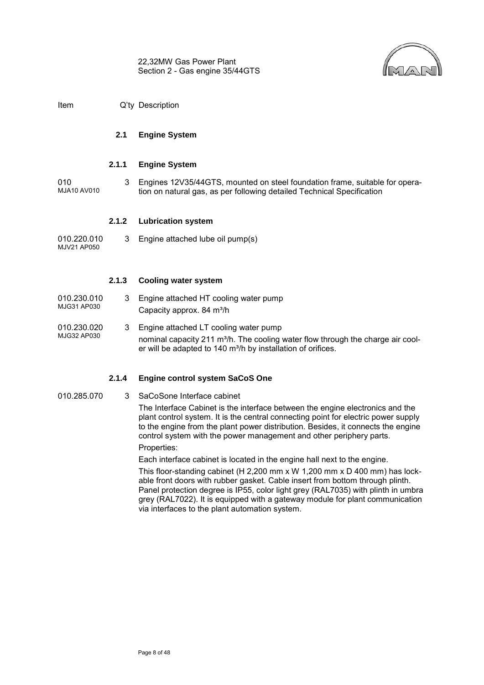

MJG32 AP030

#### <span id="page-9-0"></span>**2.1 Engine System**

#### **2.1.1 Engine System**

010 MJA10 AV010 3 Engines 12V35/44GTS, mounted on steel foundation frame, suitable for operation on natural gas, as per following detailed Technical Specification

#### **2.1.2 Lubrication system**

010.220.010 MJV21 AP050 3 Engine attached lube oil pump(s)

#### **2.1.3 Cooling water system**

| 010.230.010 |  | 3 Engine attached HT cooling water pump |
|-------------|--|-----------------------------------------|
| MJG31 AP030 |  | Capacity approx. 84 m <sup>3</sup> /h   |
| 010.230.020 |  | 3 Engine attached LT cooling water pump |

nominal capacity 211 m<sup>3</sup>/h. The cooling water flow through the charge air cooler will be adapted to 140 m<sup>3</sup>/h by installation of orifices.

#### **2.1.4 Engine control system SaCoS One**

010.285.070 3 SaCoSone Interface cabinet

The Interface Cabinet is the interface between the engine electronics and the plant control system. It is the central connecting point for electric power supply to the engine from the plant power distribution. Besides, it connects the engine control system with the power management and other periphery parts.

Properties:

Each interface cabinet is located in the engine hall next to the engine.

This floor-standing cabinet (H 2,200 mm x W 1,200 mm x D 400 mm) has lockable front doors with rubber gasket. Cable insert from bottom through plinth. Panel protection degree is IP55, color light grey (RAL7035) with plinth in umbra grey (RAL7022). It is equipped with a gateway module for plant communication via interfaces to the plant automation system.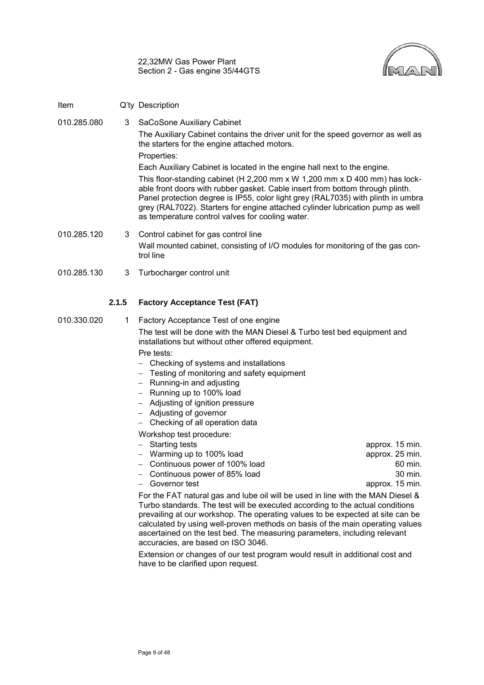

Item Q'ty Description

010.285.080 3 SaCoSone Auxiliary Cabinet The Auxiliary Cabinet contains the driver unit for the speed governor as well as the starters for the engine attached motors. Properties: Each Auxiliary Cabinet is located in the engine hall next to the engine.

This floor-standing cabinet (H 2,200 mm x W 1,200 mm x D 400 mm) has lockable front doors with rubber gasket. Cable insert from bottom through plinth. Panel protection degree is IP55, color light grey (RAL7035) with plinth in umbra grey (RAL7022). Starters for engine attached cylinder lubrication pump as well as temperature control valves for cooling water.

- 010.285.120 3 Control cabinet for gas control line Wall mounted cabinet, consisting of I/O modules for monitoring of the gas control line
- 010.285.130 3 Turbocharger control unit

## **2.1.5 Factory Acceptance Test (FAT)**

- 010.330.020 1 Factory Acceptance Test of one engine The test will be done with the MAN Diesel & Turbo test bed equipment and installations but without other offered equipment. Pre tests:
	- − Checking of systems and installations
	- − Testing of monitoring and safety equipment
	- − Running-in and adjusting
	- − Running up to 100% load
	- − Adjusting of ignition pressure
	- − Adjusting of governor
	- − Checking of all operation data

Workshop test procedure:

− Starting tests approx. 15 min. − Warming up to 100% load approx. 25 min. − Continuous power of 100% load 60 min. − Continuous power of 85% load 30 min. − Governor test approx. 15 min.

For the FAT natural gas and lube oil will be used in line with the MAN Diesel & Turbo standards. The test will be executed according to the actual conditions prevailing at our workshop. The operating values to be expected at site can be calculated by using well-proven methods on basis of the main operating values ascertained on the test bed. The measuring parameters, including relevant accuracies, are based on ISO 3046.

Extension or changes of our test program would result in additional cost and have to be clarified upon request.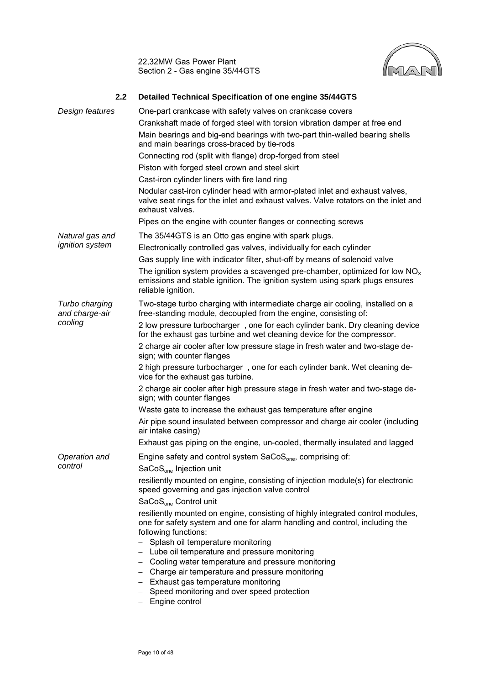

<span id="page-11-0"></span>

| 2.2                              | Detailed Technical Specification of one engine 35/44GTS                                                                                                                                                                                                                                                                                                                                                                        |
|----------------------------------|--------------------------------------------------------------------------------------------------------------------------------------------------------------------------------------------------------------------------------------------------------------------------------------------------------------------------------------------------------------------------------------------------------------------------------|
| Design features                  | One-part crankcase with safety valves on crankcase covers                                                                                                                                                                                                                                                                                                                                                                      |
|                                  | Crankshaft made of forged steel with torsion vibration damper at free end                                                                                                                                                                                                                                                                                                                                                      |
|                                  | Main bearings and big-end bearings with two-part thin-walled bearing shells<br>and main bearings cross-braced by tie-rods                                                                                                                                                                                                                                                                                                      |
|                                  | Connecting rod (split with flange) drop-forged from steel                                                                                                                                                                                                                                                                                                                                                                      |
|                                  | Piston with forged steel crown and steel skirt                                                                                                                                                                                                                                                                                                                                                                                 |
|                                  | Cast-iron cylinder liners with fire land ring                                                                                                                                                                                                                                                                                                                                                                                  |
|                                  | Nodular cast-iron cylinder head with armor-plated inlet and exhaust valves,<br>valve seat rings for the inlet and exhaust valves. Valve rotators on the inlet and<br>exhaust valves.                                                                                                                                                                                                                                           |
|                                  | Pipes on the engine with counter flanges or connecting screws                                                                                                                                                                                                                                                                                                                                                                  |
| Natural gas and                  | The 35/44GTS is an Otto gas engine with spark plugs.                                                                                                                                                                                                                                                                                                                                                                           |
| <i>ignition</i> system           | Electronically controlled gas valves, individually for each cylinder                                                                                                                                                                                                                                                                                                                                                           |
|                                  | Gas supply line with indicator filter, shut-off by means of solenoid valve                                                                                                                                                                                                                                                                                                                                                     |
|                                  | The ignition system provides a scavenged pre-chamber, optimized for low $NOx$<br>emissions and stable ignition. The ignition system using spark plugs ensures<br>reliable ignition.                                                                                                                                                                                                                                            |
| Turbo charging<br>and charge-air | Two-stage turbo charging with intermediate charge air cooling, installed on a<br>free-standing module, decoupled from the engine, consisting of:                                                                                                                                                                                                                                                                               |
| cooling                          | 2 low pressure turbocharger, one for each cylinder bank. Dry cleaning device<br>for the exhaust gas turbine and wet cleaning device for the compressor.                                                                                                                                                                                                                                                                        |
|                                  | 2 charge air cooler after low pressure stage in fresh water and two-stage de-<br>sign; with counter flanges                                                                                                                                                                                                                                                                                                                    |
|                                  | 2 high pressure turbocharger, one for each cylinder bank. Wet cleaning de-<br>vice for the exhaust gas turbine.                                                                                                                                                                                                                                                                                                                |
|                                  | 2 charge air cooler after high pressure stage in fresh water and two-stage de-<br>sign; with counter flanges                                                                                                                                                                                                                                                                                                                   |
|                                  | Waste gate to increase the exhaust gas temperature after engine                                                                                                                                                                                                                                                                                                                                                                |
|                                  | Air pipe sound insulated between compressor and charge air cooler (including<br>air intake casing)                                                                                                                                                                                                                                                                                                                             |
|                                  | Exhaust gas piping on the engine, un-cooled, thermally insulated and lagged                                                                                                                                                                                                                                                                                                                                                    |
| Operation and<br>control         | Engine safety and control system SaCoS <sub>one</sub> , comprising of:<br>SaCoS <sub>one</sub> Injection unit                                                                                                                                                                                                                                                                                                                  |
|                                  | resiliently mounted on engine, consisting of injection module(s) for electronic<br>speed governing and gas injection valve control<br>SaCoS <sub>one</sub> Control unit                                                                                                                                                                                                                                                        |
|                                  | resiliently mounted on engine, consisting of highly integrated control modules,<br>one for safety system and one for alarm handling and control, including the<br>following functions:<br>Splash oil temperature monitoring<br>Lube oil temperature and pressure monitoring<br>- Cooling water temperature and pressure monitoring<br>- Charge air temperature and pressure monitoring<br>- Exhaust gas temperature monitoring |
|                                  | - Speed monitoring and over speed protection<br>Engine control                                                                                                                                                                                                                                                                                                                                                                 |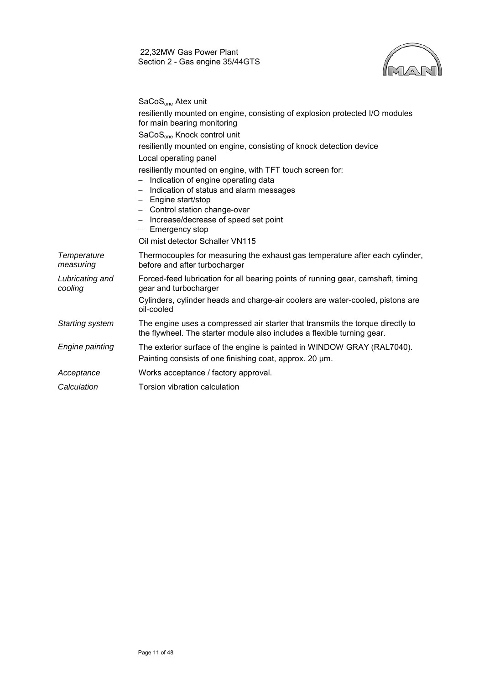

SaCoS<sub>one</sub> Atex unit

|                            | resiliently mounted on engine, consisting of explosion protected I/O modules<br>for main bearing monitoring                                               |
|----------------------------|-----------------------------------------------------------------------------------------------------------------------------------------------------------|
|                            | SaCoS <sub>one</sub> Knock control unit                                                                                                                   |
|                            | resiliently mounted on engine, consisting of knock detection device                                                                                       |
|                            | Local operating panel                                                                                                                                     |
|                            | resiliently mounted on engine, with TFT touch screen for:                                                                                                 |
|                            | Indication of engine operating data                                                                                                                       |
|                            | Indication of status and alarm messages<br>Engine start/stop                                                                                              |
|                            | - Control station change-over                                                                                                                             |
|                            | - Increase/decrease of speed set point                                                                                                                    |
|                            | - Emergency stop                                                                                                                                          |
|                            | Oil mist detector Schaller VN115                                                                                                                          |
| Temperature<br>measuring   | Thermocouples for measuring the exhaust gas temperature after each cylinder,<br>before and after turbocharger                                             |
| Lubricating and<br>cooling | Forced-feed lubrication for all bearing points of running gear, camshaft, timing<br>gear and turbocharger                                                 |
|                            | Cylinders, cylinder heads and charge-air coolers are water-cooled, pistons are<br>oil-cooled                                                              |
| Starting system            | The engine uses a compressed air starter that transmits the torque directly to<br>the flywheel. The starter module also includes a flexible turning gear. |
| Engine painting            | The exterior surface of the engine is painted in WINDOW GRAY (RAL7040).                                                                                   |
|                            | Painting consists of one finishing coat, approx. 20 um.                                                                                                   |
| Acceptance                 | Works acceptance / factory approval.                                                                                                                      |
| Calculation                | Torsion vibration calculation                                                                                                                             |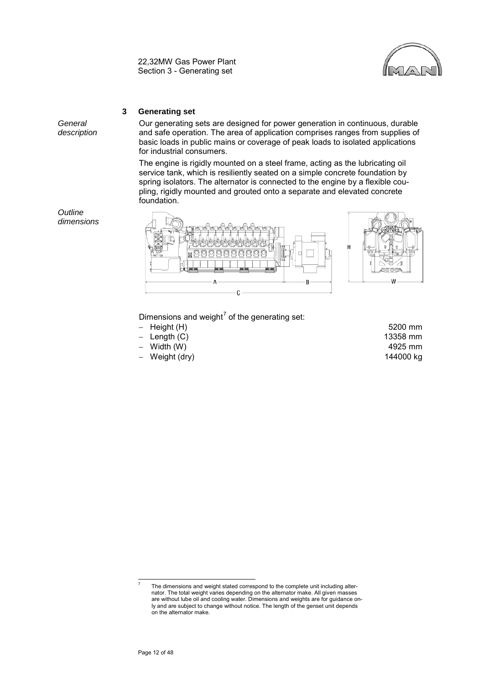

## **3 Generating set**

<span id="page-13-0"></span>*General description*

*Outline dimensions* Our generating sets are designed for power generation in continuous, durable and safe operation. The area of application comprises ranges from supplies of basic loads in public mains or coverage of peak loads to isolated applications for industrial consumers.

The engine is rigidly mounted on a steel frame, acting as the lubricating oil service tank, which is resiliently seated on a simple concrete foundation by spring isolators. The alternator is connected to the engine by a flexible coupling, rigidly mounted and grouted onto a separate and elevated concrete foundation.



Dimensions and weight<sup>[7](#page-13-1)</sup> of the generating set:

- − Height (H) 5200 mm
- 
- Width (W)
- − Weight (dry) 144000 kg

Length (C) 13358 mm<br>
Width (W) 13358 mm<br>
4925 mm

<span id="page-13-1"></span>The dimensions and weight stated correspond to the complete unit including alternator. The total weight varies depending on the alternator make. All given masses are without lube oil and cooling water. Dimensions and weights are for guidance only and are subject to change without notice. The length of the genset unit depends on the alternator make.

 $\overline{a}$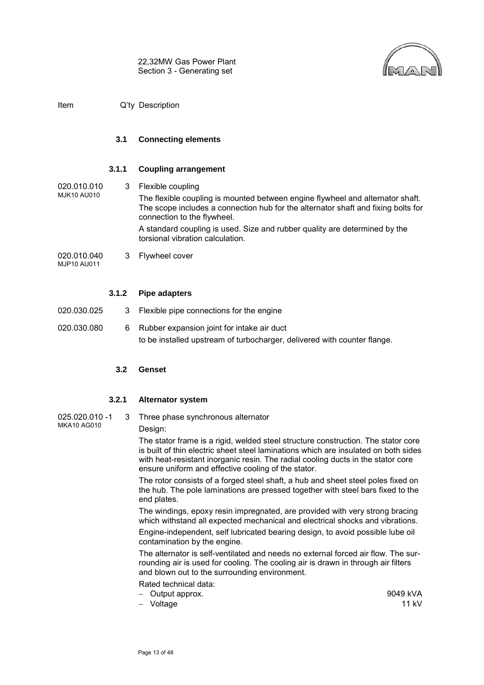

<span id="page-14-0"></span>Item Q'ty Description

#### **3.1 Connecting elements**

#### **3.1.1 Coupling arrangement**

020.010.010 MJK10 AU010 3 Flexible coupling The flexible coupling is mounted between engine flywheel and alternator shaft. The scope includes a connection hub for the alternator shaft and fixing bolts for connection to the flywheel. A standard coupling is used. Size and rubber quality are determined by the torsional vibration calculation.

020.010.040 MJP10 AU011 3 Flywheel cover

#### **3.1.2 Pipe adapters**

- 020.030.025 3 Flexible pipe connections for the engine
- <span id="page-14-1"></span>020.030.080 6 Rubber expansion joint for intake air duct to be installed upstream of turbocharger, delivered with counter flange.

#### **3.2 Genset**

#### **3.2.1 Alternator system**

025.020.010 -1 MKA10 AG010 3 Three phase synchronous alternator

Design:

The stator frame is a rigid, welded steel structure construction. The stator core is built of thin electric sheet steel laminations which are insulated on both sides with heat-resistant inorganic resin. The radial cooling ducts in the stator core ensure uniform and effective cooling of the stator.

The rotor consists of a forged steel shaft, a hub and sheet steel poles fixed on the hub. The pole laminations are pressed together with steel bars fixed to the end plates.

The windings, epoxy resin impregnated, are provided with very strong bracing which withstand all expected mechanical and electrical shocks and vibrations.

Engine-independent, self lubricated bearing design, to avoid possible lube oil contamination by the engine.

The alternator is self-ventilated and needs no external forced air flow. The surrounding air is used for cooling. The cooling air is drawn in through air filters and blown out to the surrounding environment.

- Rated technical data:
- − Output approx. 9049 kVA
- 

− Voltage 11 kV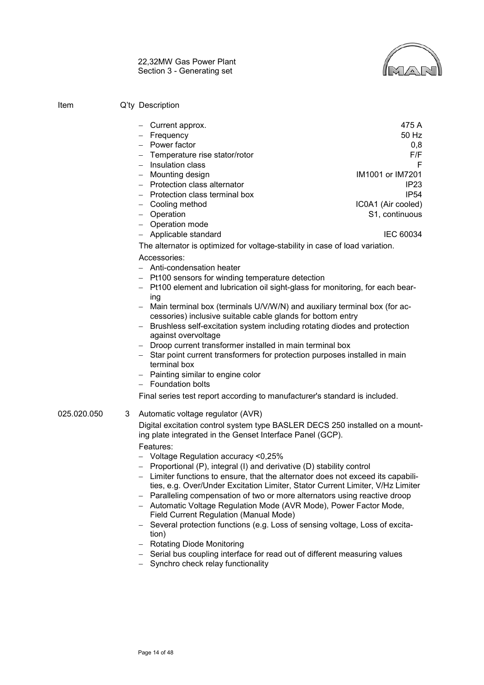

| Item        | Q'ty Description                                                                                                                                                                                                                                                                                                                                                                                                                                                                                                                                                                                                                                                                                                                                                                                                                                                                                                                |                                                                                                                                               |
|-------------|---------------------------------------------------------------------------------------------------------------------------------------------------------------------------------------------------------------------------------------------------------------------------------------------------------------------------------------------------------------------------------------------------------------------------------------------------------------------------------------------------------------------------------------------------------------------------------------------------------------------------------------------------------------------------------------------------------------------------------------------------------------------------------------------------------------------------------------------------------------------------------------------------------------------------------|-----------------------------------------------------------------------------------------------------------------------------------------------|
|             | Current approx.<br>- Frequency<br>- Power factor<br>- Temperature rise stator/rotor<br>- Insulation class<br>- Mounting design<br>- Protection class alternator<br>- Protection class terminal box<br>- Cooling method<br>- Operation<br>- Operation mode<br>- Applicable standard                                                                                                                                                                                                                                                                                                                                                                                                                                                                                                                                                                                                                                              | 475 A<br>50 Hz<br>0,8<br>F/F<br>F<br>IM1001 or IM7201<br>IP <sub>23</sub><br><b>IP54</b><br>IC0A1 (Air cooled)<br>S1, continuous<br>IEC 60034 |
|             | The alternator is optimized for voltage-stability in case of load variation.                                                                                                                                                                                                                                                                                                                                                                                                                                                                                                                                                                                                                                                                                                                                                                                                                                                    |                                                                                                                                               |
|             | Accessories:<br>$-$ Anti-condensation heater<br>- Pt100 sensors for winding temperature detection<br>Pt100 element and lubrication oil sight-glass for monitoring, for each bear-<br>ing<br>Main terminal box (terminals U/V/W/N) and auxiliary terminal box (for ac-<br>cessories) inclusive suitable cable glands for bottom entry<br>- Brushless self-excitation system including rotating diodes and protection<br>against overvoltage<br>- Droop current transformer installed in main terminal box<br>- Star point current transformers for protection purposes installed in main<br>terminal box<br>- Painting similar to engine color<br>- Foundation bolts<br>Final series test report according to manufacturer's standard is included.                                                                                                                                                                               |                                                                                                                                               |
| 025.020.050 | 3<br>Automatic voltage regulator (AVR)<br>Digital excitation control system type BASLER DECS 250 installed on a mount-<br>ing plate integrated in the Genset Interface Panel (GCP).<br>Features:<br>- Voltage Regulation accuracy <0,25%<br>Proportional (P), integral (I) and derivative (D) stability control<br>- Limiter functions to ensure, that the alternator does not exceed its capabili-<br>ties, e.g. Over/Under Excitation Limiter, Stator Current Limiter, V/Hz Limiter<br>- Paralleling compensation of two or more alternators using reactive droop<br>- Automatic Voltage Regulation Mode (AVR Mode), Power Factor Mode,<br>Field Current Regulation (Manual Mode)<br>Several protection functions (e.g. Loss of sensing voltage, Loss of excita-<br>tion)<br>- Rotating Diode Monitoring<br>- Serial bus coupling interface for read out of different measuring values<br>- Synchro check relay functionality |                                                                                                                                               |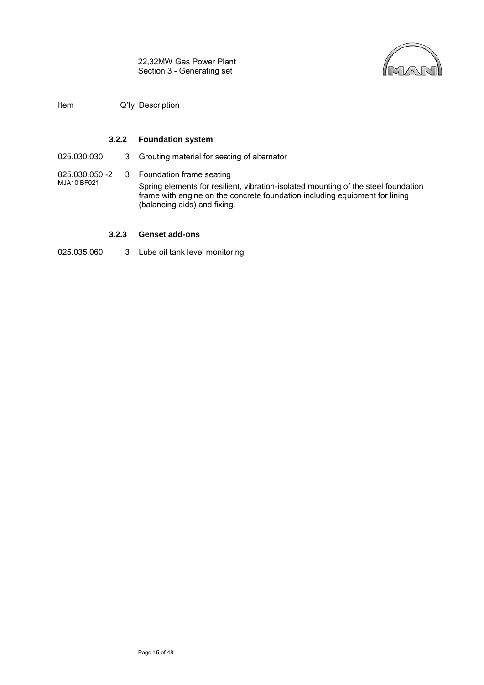

Item Q'ty Description

#### **3.2.2 Foundation system**

025.030.030 3 Grouting material for seating of alternator

025.030.050 -2 MJA10 BF021 3 Foundation frame seating Spring elements for resilient, vibration-isolated mounting of the steel foundation frame with engine on the concrete foundation including equipment for lining (balancing aids) and fixing.

#### **3.2.3 Genset add-ons**

025.035.060 3 Lube oil tank level monitoring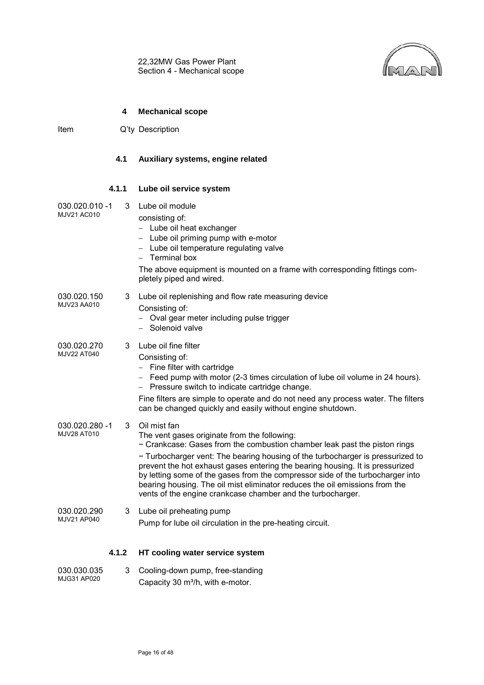22,32MW Gas Power Plant Section 4 - Mechanical scope



#### **4 Mechanical scope**

<span id="page-17-1"></span><span id="page-17-0"></span>Item Q'ty Description

#### **4.1 Auxiliary systems, engine related**

#### **4.1.1 Lube oil service system**

- 030.020.010 -1 MJV21 AC010 3 Lube oil module
	- consisting of:
		- − Lube oil heat exchanger
		- − Lube oil priming pump with e-motor
		- − Lube oil temperature regulating valve
		- − Terminal box
		- The above equipment is mounted on a frame with corresponding fittings completely piped and wired.
- 030.020.150 MJV23 AA010 3 Lube oil replenishing and flow rate measuring device Consisting of:
	- − Oval gear meter including pulse trigger
	- − Solenoid valve
- 030.020.270 MJV22 AT040 3 Lube oil fine filter
	- Consisting of:
		- − Fine filter with cartridge
		- − Feed pump with motor (2-3 times circulation of lube oil volume in 24 hours).
		- − Pressure switch to indicate cartridge change.
		- Fine filters are simple to operate and do not need any process water. The filters can be changed quickly and easily without engine shutdown.
- 030.020.280 -1 MJV28 AT010 3 Oil mist fan The vent gases originate from the following: − Crankcase: Gases from the combustion chamber leak past the piston rings − Turbocharger vent: The bearing housing of the turbocharger is pressurized to prevent the hot exhaust gases entering the bearing housing. It is pressurized by letting some of the gases from the compressor side of the turbocharger into bearing housing. The oil mist eliminator reduces the oil emissions from the vents of the engine crankcase chamber and the turbocharger. 030.020.290 MJV21 AP040 3 Lube oil preheating pump Pump for lube oil circulation in the pre-heating circuit.

#### **4.1.2 HT cooling water service system**

| 030.030.035 | Cooling-down pump, free-standing             |
|-------------|----------------------------------------------|
| MJG31 AP020 | Capacity 30 m <sup>3</sup> /h, with e-motor. |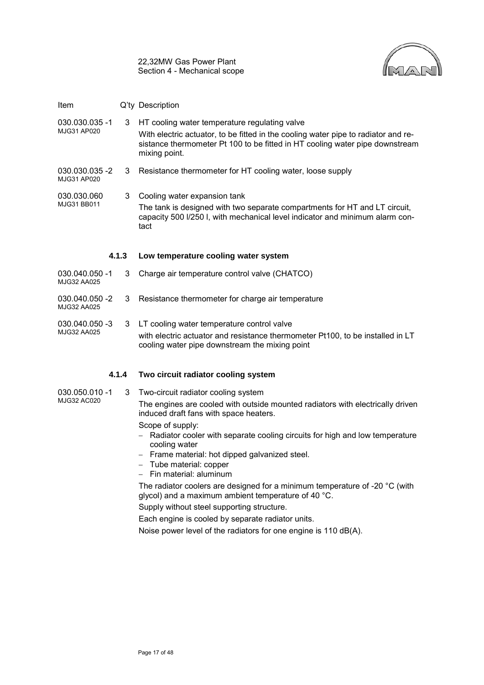

| Item                          |       | Q'ty Description                                                                                                                                                                                                                     |
|-------------------------------|-------|--------------------------------------------------------------------------------------------------------------------------------------------------------------------------------------------------------------------------------------|
| 030.030.035 -1<br>MJG31 AP020 | 3     | HT cooling water temperature regulating valve<br>With electric actuator, to be fitted in the cooling water pipe to radiator and re-<br>sistance thermometer Pt 100 to be fitted in HT cooling water pipe downstream<br>mixing point. |
| 030.030.035 -2<br>MJG31 AP020 | 3     | Resistance thermometer for HT cooling water, loose supply                                                                                                                                                                            |
| 030.030.060<br>MJG31 BB011    | 3     | Cooling water expansion tank<br>The tank is designed with two separate compartments for HT and LT circuit,<br>capacity 500 I/250 I, with mechanical level indicator and minimum alarm con-<br>tact                                   |
|                               | 4.1.3 | Low temperature cooling water system                                                                                                                                                                                                 |
| 030.040.050 -1<br>MJG32 AA025 | 3     | Charge air temperature control valve (CHATCO)                                                                                                                                                                                        |
| 030.040.050 -2                | 3     | Resistance thermometer for charge air temperature                                                                                                                                                                                    |

#### 030.040.050 -3 MJG32 AA025 3 LT cooling water temperature control valve with electric actuator and resistance thermometer Pt100, to be installed in LT cooling water pipe downstream the mixing point

## **4.1.4 Two circuit radiator cooling system**

MJG32 AA025

030.050.010 -1 MJG32 AC020 3 Two-circuit radiator cooling system The engines are cooled with outside mounted radiators with electrically driven induced draft fans with space heaters. Scope of supply: − Radiator cooler with separate cooling circuits for high and low temperature cooling water − Frame material: hot dipped galvanized steel. − Tube material: copper − Fin material: aluminum

The radiator coolers are designed for a minimum temperature of -20 °C (with glycol) and a maximum ambient temperature of 40 °C.

Supply without steel supporting structure.

Each engine is cooled by separate radiator units.

Noise power level of the radiators for one engine is 110 dB(A).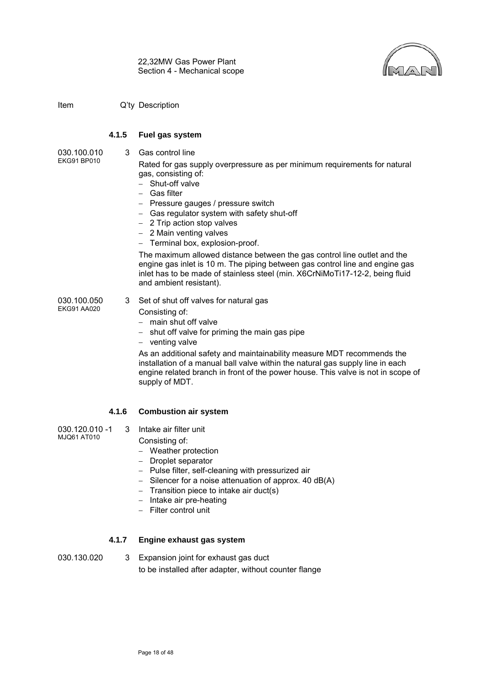

#### **4.1.5 Fuel gas system**

030.100.010 EKG91 BP010

3 Gas control line

Rated for gas supply overpressure as per minimum requirements for natural gas, consisting of:

- − Shut-off valve
- − Gas filter
- − Pressure gauges / pressure switch
- − Gas regulator system with safety shut-off
- − 2 Trip action stop valves
- − 2 Main venting valves
- − Terminal box, explosion-proof.

The maximum allowed distance between the gas control line outlet and the engine gas inlet is 10 m. The piping between gas control line and engine gas inlet has to be made of stainless steel (min. X6CrNiMoTi17-12-2, being fluid and ambient resistant).

030.100.050 EKG91 AA020

- 3 Set of shut off valves for natural gas
	- Consisting of:
	- − main shut off valve
	- − shut off valve for priming the main gas pipe
	- − venting valve

As an additional safety and maintainability measure MDT recommends the installation of a manual ball valve within the natural gas supply line in each engine related branch in front of the power house. This valve is not in scope of supply of MDT.

## **4.1.6 Combustion air system**

- 030.120.010 -1 MJQ61 AT010 3 Intake air filter unit
	- Consisting of:
	- − Weather protection
	- − Droplet separator
	- − Pulse filter, self-cleaning with pressurized air
	- − Silencer for a noise attenuation of approx. 40 dB(A)
	- − Transition piece to intake air duct(s)
	- − Intake air pre-heating
	- − Filter control unit

## **4.1.7 Engine exhaust gas system**

030.130.020 3 Expansion joint for exhaust gas duct to be installed after adapter, without counter flange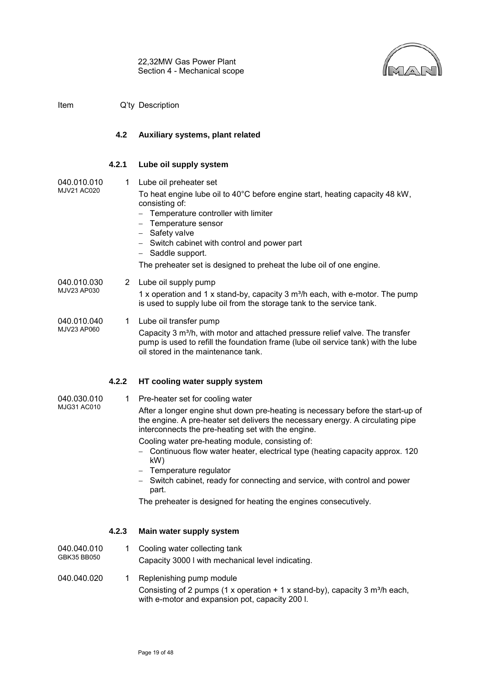

#### <span id="page-20-0"></span>**4.2 Auxiliary systems, plant related**

#### **4.2.1 Lube oil supply system**

040.010.010 1 Lube oil preheater set

MJV21 AC020

To heat engine lube oil to 40°C before engine start, heating capacity 48 kW, consisting of:

- Temperature controller with limiter
- − Temperature sensor
- − Safety valve
- − Switch cabinet with control and power part
- − Saddle support.

The preheater set is designed to preheat the lube oil of one engine.

040.010.030 MJV23 AP030 2 Lube oil supply pump

1 x operation and 1 x stand-by, capacity 3  $m^3/h$  each, with e-motor. The pump is used to supply lube oil from the storage tank to the service tank.

040.010.040 MJV23 AP060 1 Lube oil transfer pump

Capacity 3 m<sup>3</sup>/h, with motor and attached pressure relief valve. The transfer pump is used to refill the foundation frame (lube oil service tank) with the lube oil stored in the maintenance tank.

## **4.2.2 HT cooling water supply system**

040.030.010 MJG31 AC010

1 Pre-heater set for cooling water

After a longer engine shut down pre-heating is necessary before the start-up of the engine. A pre-heater set delivers the necessary energy. A circulating pipe interconnects the pre-heating set with the engine.

Cooling water pre-heating module, consisting of:

- − Continuous flow water heater, electrical type (heating capacity approx. 120 kW)
- − Temperature regulator
- − Switch cabinet, ready for connecting and service, with control and power part.

The preheater is designed for heating the engines consecutively.

## **4.2.3 Main water supply system**

040.040.010 GBK35 BB050 1 Cooling water collecting tank Capacity 3000 l with mechanical level indicating.

040.040.020 1 Replenishing pump module Consisting of 2 pumps (1 x operation + 1 x stand-by), capacity 3  $m^3/h$  each, with e-motor and expansion pot, capacity 200 l.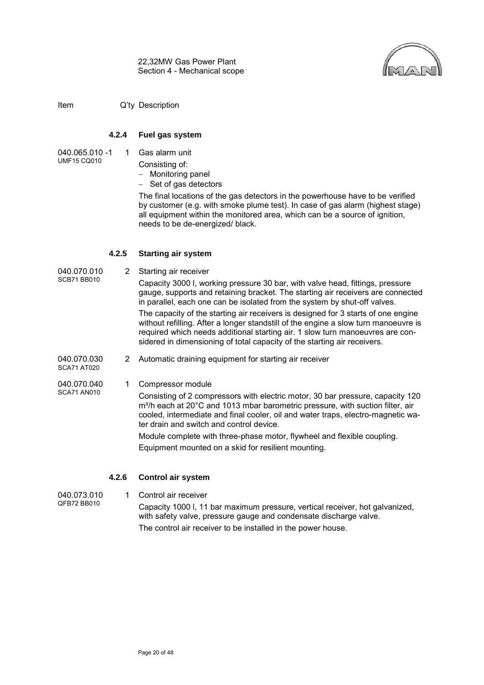

#### **4.2.4 Fuel gas system**

- 040.065.010 -1 UMF15 CQ010
- 1 Gas alarm unit
	- Consisting of:
	- − Monitoring panel
	- − Set of gas detectors

The final locations of the gas detectors in the powerhouse have to be verified by customer (e.g. with smoke plume test). In case of gas alarm (highest stage) all equipment within the monitored area, which can be a source of ignition, needs to be de-energized/ black.

#### **4.2.5 Starting air system**

040.070.010 SCB71 BB010 2 Starting air receiver Capacity 3000 l, working pressure 30 bar, with valve head, fittings, pressure gauge, supports and retaining bracket. The starting air receivers are connected in parallel, each one can be isolated from the system by shut-off valves. The capacity of the starting air receivers is designed for 3 starts of one engine without refilling. After a longer standstill of the engine a slow turn manoeuvre is required which needs additional starting air. 1 slow turn manoeuvres are considered in dimensioning of total capacity of the starting air receivers.

040.070.030 SCA71 AT020 2 Automatic draining equipment for starting air receiver

040.070.040 SCA71 AN010

1 Compressor module

Consisting of 2 compressors with electric motor, 30 bar pressure, capacity 120 m<sup>3</sup>/h each at 20°C and 1013 mbar barometric pressure, with suction filter, air cooled, intermediate and final cooler, oil and water traps, electro-magnetic water drain and switch and control device.

Module complete with three-phase motor, flywheel and flexible coupling.

Equipment mounted on a skid for resilient mounting.

## **4.2.6 Control air system**

040.073.010 1 Control air receiver

QFB72 BB010 Capacity 1000 l, 11 bar maximum pressure, vertical receiver, hot galvanized, with safety valve, pressure gauge and condensate discharge valve. The control air receiver to be installed in the power house.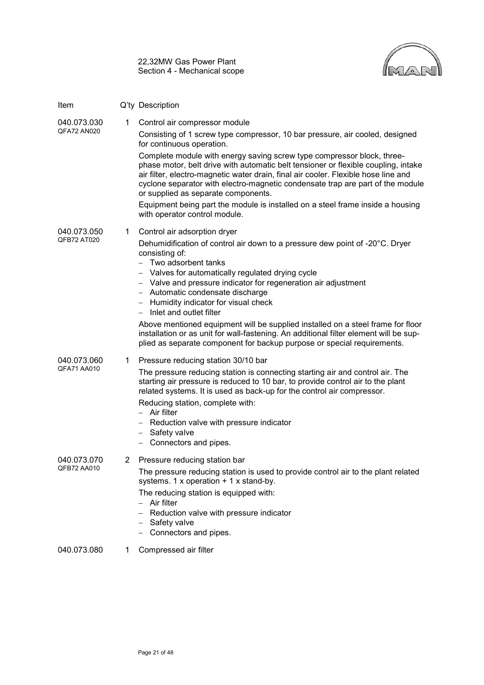| 22,32MW Gas Power Plant      |
|------------------------------|
| Section 4 - Mechanical scope |



| Item                       |   | Q'ty Description                                                                                                                                                                                                                                                                                                                                                                                                                                                                                                                                                                                                                              |
|----------------------------|---|-----------------------------------------------------------------------------------------------------------------------------------------------------------------------------------------------------------------------------------------------------------------------------------------------------------------------------------------------------------------------------------------------------------------------------------------------------------------------------------------------------------------------------------------------------------------------------------------------------------------------------------------------|
| 040.073.030<br>QFA72 AN020 | 1 | Control air compressor module<br>Consisting of 1 screw type compressor, 10 bar pressure, air cooled, designed<br>for continuous operation.<br>Complete module with energy saving screw type compressor block, three-<br>phase motor, belt drive with automatic belt tensioner or flexible coupling, intake<br>air filter, electro-magnetic water drain, final air cooler. Flexible hose line and<br>cyclone separator with electro-magnetic condensate trap are part of the module<br>or supplied as separate components.<br>Equipment being part the module is installed on a steel frame inside a housing<br>with operator control module.  |
| 040.073.050<br>QFB72 AT020 | 1 | Control air adsorption dryer<br>Dehumidification of control air down to a pressure dew point of -20°C. Dryer<br>consisting of:<br>$-$ Two adsorbent tanks<br>Valves for automatically regulated drying cycle<br>- Valve and pressure indicator for regeneration air adjustment<br>- Automatic condensate discharge<br>- Humidity indicator for visual check<br>Inlet and outlet filter<br>Above mentioned equipment will be supplied installed on a steel frame for floor<br>installation or as unit for wall-fastening. An additional filter element will be sup-<br>plied as separate component for backup purpose or special requirements. |
| 040.073.060<br>QFA71 AA010 | 1 | Pressure reducing station 30/10 bar<br>The pressure reducing station is connecting starting air and control air. The<br>starting air pressure is reduced to 10 bar, to provide control air to the plant<br>related systems. It is used as back-up for the control air compressor.<br>Reducing station, complete with:<br>Air filter<br>Reduction valve with pressure indicator<br>Safety valve<br>Connectors and pipes.                                                                                                                                                                                                                       |
| 040.073.070<br>QFB72 AA010 | 2 | Pressure reducing station bar<br>The pressure reducing station is used to provide control air to the plant related<br>systems. 1 x operation $+ 1$ x stand-by.<br>The reducing station is equipped with:<br>Air filter<br>Reduction valve with pressure indicator<br>Safety valve<br>Connectors and pipes.                                                                                                                                                                                                                                                                                                                                    |
| 040.073.080                | 1 | Compressed air filter                                                                                                                                                                                                                                                                                                                                                                                                                                                                                                                                                                                                                         |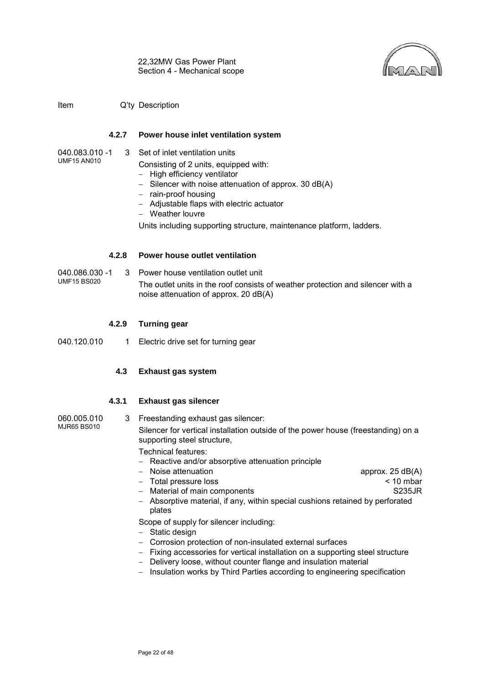

#### **4.2.7 Power house inlet ventilation system**

040.083.010 -1 UMF15 AN010 3 Set of inlet ventilation units

Consisting of 2 units, equipped with:

- − High efficiency ventilator
- − Silencer with noise attenuation of approx. 30 dB(A)
- − rain-proof housing
- − Adjustable flaps with electric actuator
- − Weather louvre

Units including supporting structure, maintenance platform, ladders.

#### **4.2.8 Power house outlet ventilation**

040.086.030 -1 UMF15 BS020 3 Power house ventilation outlet unit The outlet units in the roof consists of weather protection and silencer with a noise attenuation of approx. 20 dB(A)

#### **4.2.9 Turning gear**

<span id="page-23-0"></span>040.120.010 1 Electric drive set for turning gear

## **4.3 Exhaust gas system**

#### **4.3.1 Exhaust gas silencer**

- 060.005.010 MJR65 BS010 3 Freestanding exhaust gas silencer: Silencer for vertical installation outside of the power house (freestanding) on a supporting steel structure, Technical features:
	- − Reactive and/or absorptive attenuation principle
	- − Noise attenuation approx. 25 dB(A)
	- − Total pressure loss < 10 mbar
	- − Material of main components S235JR
	- − Absorptive material, if any, within special cushions retained by perforated plates

Scope of supply for silencer including:

- − Static design
- − Corrosion protection of non-insulated external surfaces
- − Fixing accessories for vertical installation on a supporting steel structure
- − Delivery loose, without counter flange and insulation material
- − Insulation works by Third Parties according to engineering specification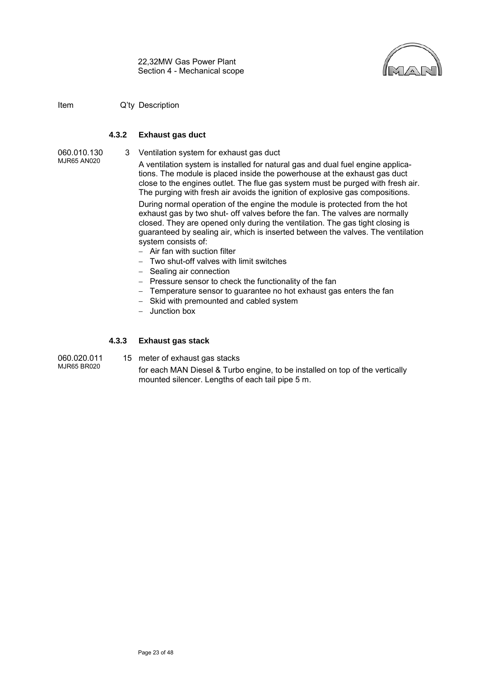

#### **4.3.2 Exhaust gas duct**

060.010.130

3 Ventilation system for exhaust gas duct

- MJR65 AN020 A ventilation system is installed for natural gas and dual fuel engine applications. The module is placed inside the powerhouse at the exhaust gas duct close to the engines outlet. The flue gas system must be purged with fresh air. The purging with fresh air avoids the ignition of explosive gas compositions. During normal operation of the engine the module is protected from the hot exhaust gas by two shut- off valves before the fan. The valves are normally closed. They are opened only during the ventilation. The gas tight closing is guaranteed by sealing air, which is inserted between the valves. The ventilation system consists of:
	- − Air fan with suction filter
	- − Two shut-off valves with limit switches
	- − Sealing air connection
	- − Pressure sensor to check the functionality of the fan
	- − Temperature sensor to guarantee no hot exhaust gas enters the fan
	- − Skid with premounted and cabled system
	- − Junction box

#### **4.3.3 Exhaust gas stack**

060.020.011 MJR65 BR020

15 meter of exhaust gas stacks

for each MAN Diesel & Turbo engine, to be installed on top of the vertically mounted silencer. Lengths of each tail pipe 5 m.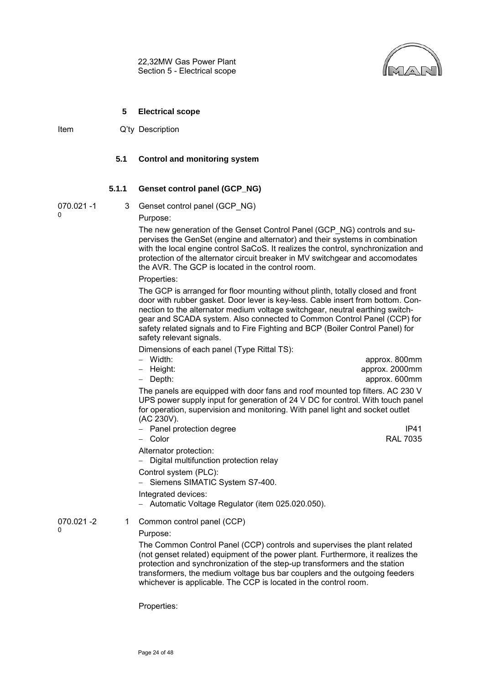

#### **5 Electrical scope**

<span id="page-25-1"></span><span id="page-25-0"></span>Item Q'ty Description

#### **5.1 Control and monitoring system**

#### **5.1.1 Genset control panel (GCP\_NG)**

070.021 -1

0

3 Genset control panel (GCP\_NG) Purpose:

The new generation of the Genset Control Panel (GCP\_NG) controls and supervises the GenSet (engine and alternator) and their systems in combination with the local engine control SaCoS. It realizes the control, synchronization and protection of the alternator circuit breaker in MV switchgear and accomodates the AVR. The GCP is located in the control room.

Properties:

The GCP is arranged for floor mounting without plinth, totally closed and front door with rubber gasket. Door lever is key-less. Cable insert from bottom. Connection to the alternator medium voltage switchgear, neutral earthing switchgear and SCADA system. Also connected to Common Control Panel (CCP) for safety related signals and to Fire Fighting and BCP (Boiler Control Panel) for safety relevant signals.

Dimensions of each panel (Type Rittal TS):

| – Width:  | approx. 800mm                                                                         |
|-----------|---------------------------------------------------------------------------------------|
| – Height: | approx. 2000mm                                                                        |
| – Depth:  | approx. 600mm                                                                         |
|           | The nanele are equipped with deer fang and reaf mounted top filters $\Lambda$ C 220 V |

The panels are equipped with door fans and roof mounted top filters. AC 230 V UPS power supply input for generation of 24 V DC for control. With touch panel for operation, supervision and monitoring. With panel light and socket outlet (AC 230V).

− Panel protection degree IP41

− Color RAL 7035

Alternator protection:

− Digital multifunction protection relay

Control system (PLC):

− Siemens SIMATIC System S7-400.

Integrated devices:

− Automatic Voltage Regulator (item 025.020.050).

070.021 -2  $\Omega$ 

## 1 Common control panel (CCP)

Purpose:

The Common Control Panel (CCP) controls and supervises the plant related (not genset related) equipment of the power plant. Furthermore, it realizes the protection and synchronization of the step-up transformers and the station transformers, the medium voltage bus bar couplers and the outgoing feeders whichever is applicable. The CCP is located in the control room.

Properties: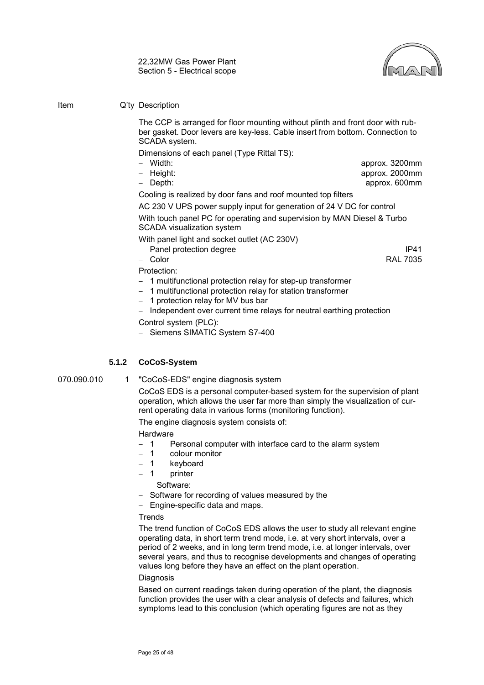

#### Item Q'ty Description

The CCP is arranged for floor mounting without plinth and front door with rubber gasket. Door levers are key-less. Cable insert from bottom. Connection to SCADA system.

Dimensions of each panel (Type Rittal TS):

- 
- − Width: approx. 3200mm − Height: approx. 2000mm − Depth: approx. 600mm
- 

Cooling is realized by door fans and roof mounted top filters

AC 230 V UPS power supply input for generation of 24 V DC for control

With touch panel PC for operating and supervision by MAN Diesel & Turbo SCADA visualization system

With panel light and socket outlet (AC 230V)

− Panel protection degree IP41

− Color RAL 7035

- Protection:
- − 1 multifunctional protection relay for step-up transformer
- − 1 multifunctional protection relay for station transformer
- − 1 protection relay for MV bus bar

Independent over current time relays for neutral earthing protection Control system (PLC):

− Siemens SIMATIC System S7-400

## **5.1.2 CoCoS-System**

070.090.010 1 "CoCoS-EDS" engine diagnosis system

CoCoS EDS is a personal computer-based system for the supervision of plant operation, which allows the user far more than simply the visualization of current operating data in various forms (monitoring function).

The engine diagnosis system consists of:

#### Hardware

- − 1 Personal computer with interface card to the alarm system
- − 1 colour monitor
- − 1 keyboard
- − 1 printer
	- Software:
- − Software for recording of values measured by the
- − Engine-specific data and maps.

#### **Trends**

The trend function of CoCoS EDS allows the user to study all relevant engine operating data, in short term trend mode, i.e. at very short intervals, over a period of 2 weeks, and in long term trend mode, i.e. at longer intervals, over several years, and thus to recognise developments and changes of operating values long before they have an effect on the plant operation.

#### Diagnosis

Based on current readings taken during operation of the plant, the diagnosis function provides the user with a clear analysis of defects and failures, which symptoms lead to this conclusion (which operating figures are not as they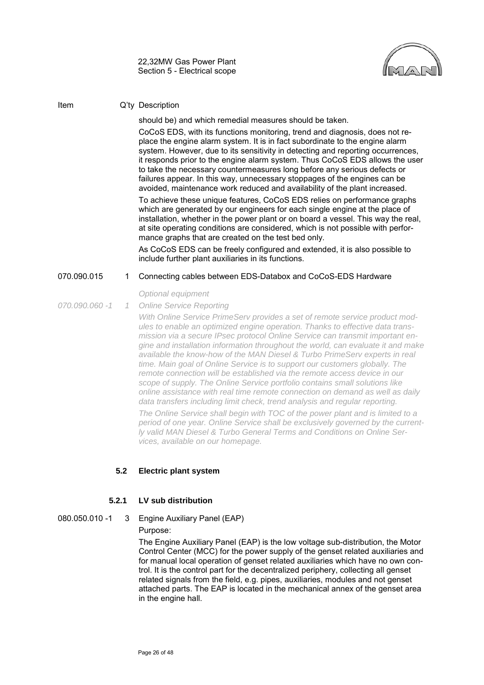

#### Item Q'ty Description

should be) and which remedial measures should be taken.

CoCoS EDS, with its functions monitoring, trend and diagnosis, does not replace the engine alarm system. It is in fact subordinate to the engine alarm system. However, due to its sensitivity in detecting and reporting occurrences, it responds prior to the engine alarm system. Thus CoCoS EDS allows the user to take the necessary countermeasures long before any serious defects or failures appear. In this way, unnecessary stoppages of the engines can be avoided, maintenance work reduced and availability of the plant increased.

To achieve these unique features, CoCoS EDS relies on performance graphs which are generated by our engineers for each single engine at the place of installation, whether in the power plant or on board a vessel. This way the real, at site operating conditions are considered, which is not possible with performance graphs that are created on the test bed only.

As CoCoS EDS can be freely configured and extended, it is also possible to include further plant auxiliaries in its functions.

#### 070.090.015 1 Connecting cables between EDS-Databox and CoCoS-EDS Hardware

*Optional equipment*

*070.090.060 -1 1 Online Service Reporting*

> *With Online Service PrimeServ provides a set of remote service product modules to enable an optimized engine operation. Thanks to effective data transmission via a secure IPsec protocol Online Service can transmit important engine and installation information throughout the world, can evaluate it and make available the know-how of the MAN Diesel & Turbo PrimeServ experts in real time. Main goal of Online Service is to support our customers globally. The remote connection will be established via the remote access device in our scope of supply. The Online Service portfolio contains small solutions like online assistance with real time remote connection on demand as well as daily data transfers including limit check, trend analysis and regular reporting. The Online Service shall begin with TOC of the power plant and is limited to a period of one year. Online Service shall be exclusively governed by the currently valid MAN Diesel & Turbo General Terms and Conditions on Online Services, available on our homepage.*

#### <span id="page-27-0"></span>**5.2 Electric plant system**

#### **5.2.1 LV sub distribution**

#### 080.050.010 -1 3 Engine Auxiliary Panel (EAP)

#### Purpose:

The Engine Auxiliary Panel (EAP) is the low voltage sub-distribution, the Motor Control Center (MCC) for the power supply of the genset related auxiliaries and for manual local operation of genset related auxiliaries which have no own control. It is the control part for the decentralized periphery, collecting all genset related signals from the field, e.g. pipes, auxiliaries, modules and not genset attached parts. The EAP is located in the mechanical annex of the genset area in the engine hall.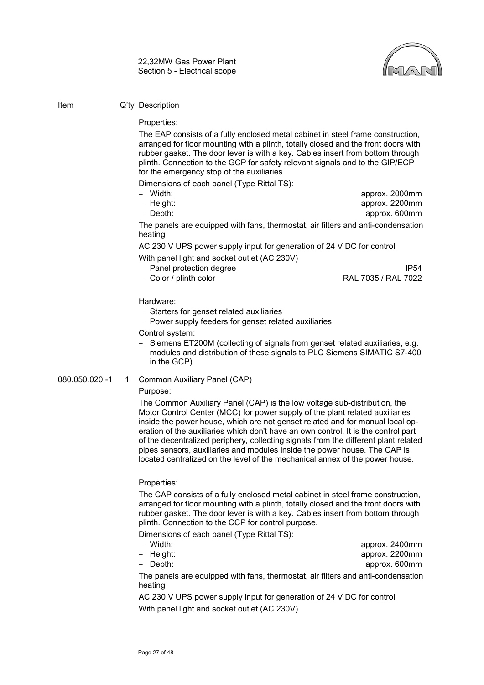

Properties:

The EAP consists of a fully enclosed metal cabinet in steel frame construction, arranged for floor mounting with a plinth, totally closed and the front doors with rubber gasket. The door lever is with a key. Cables insert from bottom through plinth. Connection to the GCP for safety relevant signals and to the GIP/ECP for the emergency stop of the auxiliaries.

Dimensions of each panel (Type Rittal TS):

- 
- − Width: approx. 2000mm − Height: approx. 2200mm − Depth: approx. 600mm

The panels are equipped with fans, thermostat, air filters and anti-condensation heating

AC 230 V UPS power supply input for generation of 24 V DC for control With panel light and socket outlet (AC 230V)

- − Panel protection degree IP54
- 

− Color / plinth color RAL 7035 / RAL 7022

Hardware:

- − Starters for genset related auxiliaries
- − Power supply feeders for genset related auxiliaries

Control system:

− Siemens ET200M (collecting of signals from genset related auxiliaries, e.g. modules and distribution of these signals to PLC Siemens SIMATIC S7-400 in the GCP)

#### 080.050.020 -1 1 Common Auxiliary Panel (CAP)

#### Purpose:

The Common Auxiliary Panel (CAP) is the low voltage sub-distribution, the Motor Control Center (MCC) for power supply of the plant related auxiliaries inside the power house, which are not genset related and for manual local operation of the auxiliaries which don't have an own control. It is the control part of the decentralized periphery, collecting signals from the different plant related pipes sensors, auxiliaries and modules inside the power house. The CAP is located centralized on the level of the mechanical annex of the power house.

Properties:

The CAP consists of a fully enclosed metal cabinet in steel frame construction, arranged for floor mounting with a plinth, totally closed and the front doors with rubber gasket. The door lever is with a key. Cables insert from bottom through plinth. Connection to the CCP for control purpose.

Dimensions of each panel (Type Rittal TS):

| – Width:  |  | approx. 2400mm                                                                   |
|-----------|--|----------------------------------------------------------------------------------|
| – Height: |  | approx. 2200mm                                                                   |
| – Depth:  |  | approx. 600mm                                                                    |
| heating   |  | The panels are equipped with fans, thermostat, air filters and anti-condensation |
|           |  |                                                                                  |

AC 230 V UPS power supply input for generation of 24 V DC for control With panel light and socket outlet (AC 230V)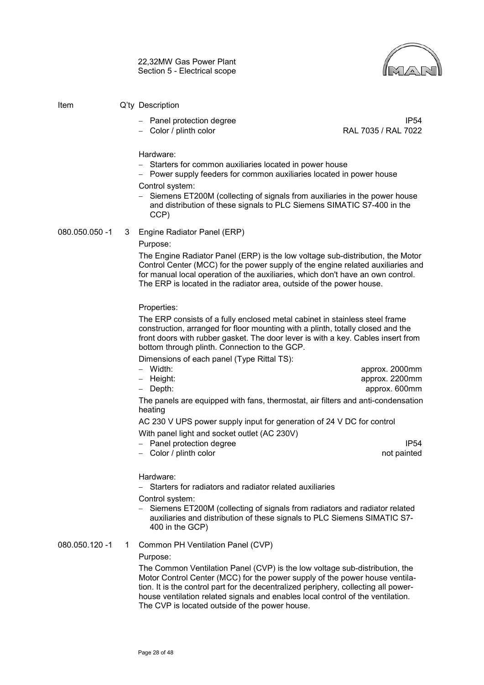

#### Item Q'ty Description

- 
- − Color / plinth color
- − Panel protection degree IP54<br>FAL 7035 / RAL 7035 / RAL 7022

Hardware:

- − Starters for common auxiliaries located in power house
- − Power supply feeders for common auxiliaries located in power house

#### Control system:

Siemens ET200M (collecting of signals from auxiliaries in the power house and distribution of these signals to PLC Siemens SIMATIC S7-400 in the CCP)

#### 080.050.050 -1 3 Engine Radiator Panel (ERP)

Purpose:

The Engine Radiator Panel (ERP) is the low voltage sub-distribution, the Motor Control Center (MCC) for the power supply of the engine related auxiliaries and for manual local operation of the auxiliaries, which don't have an own control. The ERP is located in the radiator area, outside of the power house.

Properties:

The ERP consists of a fully enclosed metal cabinet in stainless steel frame construction, arranged for floor mounting with a plinth, totally closed and the front doors with rubber gasket. The door lever is with a key. Cables insert from bottom through plinth. Connection to the GCP.

Dimensions of each panel (Type Rittal TS):

| – Width:  |  | approx. 2000mm |
|-----------|--|----------------|
| – Height: |  | approx. 2200mm |
| – Depth:  |  | approx. 600mm  |
|           |  |                |

The panels are equipped with fans, thermostat, air filters and anti-condensation heating

AC 230 V UPS power supply input for generation of 24 V DC for control With panel light and socket outlet (AC 230V)

- − Panel protection degree IP54
- − Color / plinth color not painted

Hardware:

− Starters for radiators and radiator related auxiliaries

Control system:

− Siemens ET200M (collecting of signals from radiators and radiator related auxiliaries and distribution of these signals to PLC Siemens SIMATIC S7- 400 in the GCP)

080.050.120 -1 1 Common PH Ventilation Panel (CVP)

Purpose:

The Common Ventilation Panel (CVP) is the low voltage sub-distribution, the Motor Control Center (MCC) for the power supply of the power house ventilation. It is the control part for the decentralized periphery, collecting all powerhouse ventilation related signals and enables local control of the ventilation. The CVP is located outside of the power house.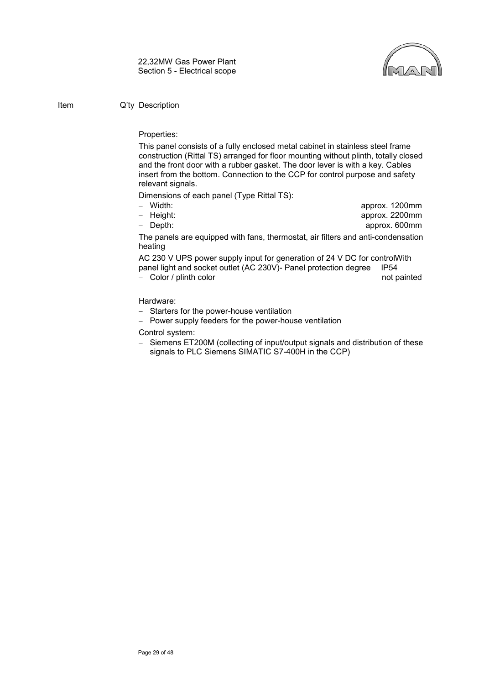

#### Properties:

This panel consists of a fully enclosed metal cabinet in stainless steel frame construction (Rittal TS) arranged for floor mounting without plinth, totally closed and the front door with a rubber gasket. The door lever is with a key. Cables insert from the bottom. Connection to the CCP for control purpose and safety relevant signals.

Dimensions of each panel (Type Rittal TS):

- 
- − Width: approx. 1200mm
- − Height: approx. 2200mm
- − Depth: approx. 600mm

The panels are equipped with fans, thermostat, air filters and anti-condensation heating

AC 230 V UPS power supply input for generation of 24 V DC for controlWith panel light and socket outlet (AC 230V)- Panel protection degree IP54

− Color / plinth color not painted

#### Hardware:

- − Starters for the power-house ventilation
- − Power supply feeders for the power-house ventilation

Control system:

− Siemens ET200M (collecting of input/output signals and distribution of these signals to PLC Siemens SIMATIC S7-400H in the CCP)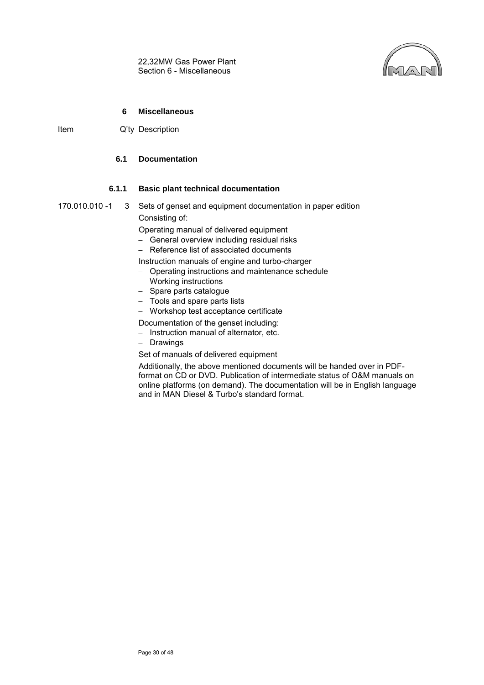

#### **6 Miscellaneous**

<span id="page-31-1"></span><span id="page-31-0"></span>Item Q'ty Description

## **6.1 Documentation**

#### **6.1.1 Basic plant technical documentation**

170.010.010 -1 3 Sets of genset and equipment documentation in paper edition Consisting of:

Operating manual of delivered equipment

- − General overview including residual risks
- − Reference list of associated documents

Instruction manuals of engine and turbo-charger

- − Operating instructions and maintenance schedule
- − Working instructions
- − Spare parts catalogue
- − Tools and spare parts lists
- − Workshop test acceptance certificate

Documentation of the genset including:

- − Instruction manual of alternator, etc.
- − Drawings

Set of manuals of delivered equipment

Additionally, the above mentioned documents will be handed over in PDFformat on CD or DVD. Publication of intermediate status of O&M manuals on online platforms (on demand). The documentation will be in English language and in MAN Diesel & Turbo's standard format.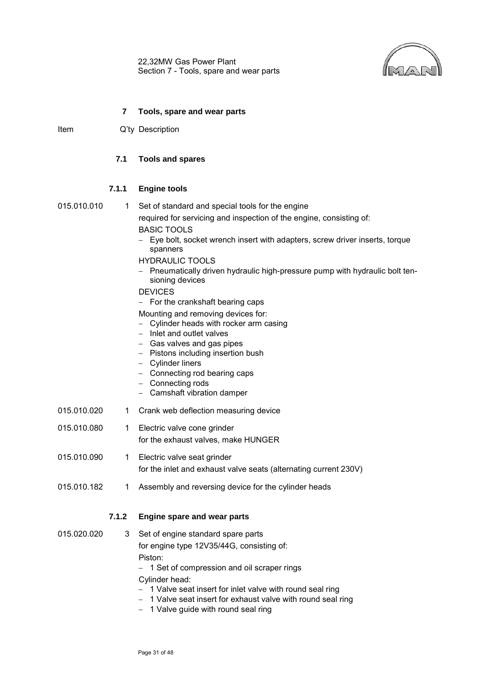22,32MW Gas Power Plant Section 7 - Tools, spare and wear parts



#### **7 Tools, spare and wear parts**

<span id="page-32-1"></span><span id="page-32-0"></span>Item Q'ty Description

#### **7.1 Tools and spares**

#### **7.1.1 Engine tools**

$$
015.010.01\\
$$

0 1 Set of standard and special tools for the engine required for servicing and inspection of the engine, consisting of:

BASIC TOOLS − Eye bolt, socket wrench insert with adapters, screw driver inserts, torque spanners

#### HYDRAULIC TOOLS

− Pneumatically driven hydraulic high-pressure pump with hydraulic bolt tensioning devices

#### DEVICES

− For the crankshaft bearing caps

Mounting and removing devices for:

- − Cylinder heads with rocker arm casing
- − Inlet and outlet valves
- − Gas valves and gas pipes
- − Pistons including insertion bush
- − Cylinder liners
- − Connecting rod bearing caps
- − Connecting rods
- − Camshaft vibration damper
- 015.010.020 1 Crank web deflection measuring device
- 015.010.080 1 Electric valve cone grinder for the exhaust valves, make HUNGER
- 015.010.090 1 Electric valve seat grinder for the inlet and exhaust valve seats (alternating current 230V)
- 015.010.182 1 Assembly and reversing device for the cylinder heads

## **7.1.2 Engine spare and wear parts**

- 015.020.020 3 Set of engine standard spare parts for engine type 12V35/44G, consisting of: Piston:
	- − 1 Set of compression and oil scraper rings

Cylinder head:

- − 1 Valve seat insert for inlet valve with round seal ring
- − 1 Valve seat insert for exhaust valve with round seal ring
- − 1 Valve guide with round seal ring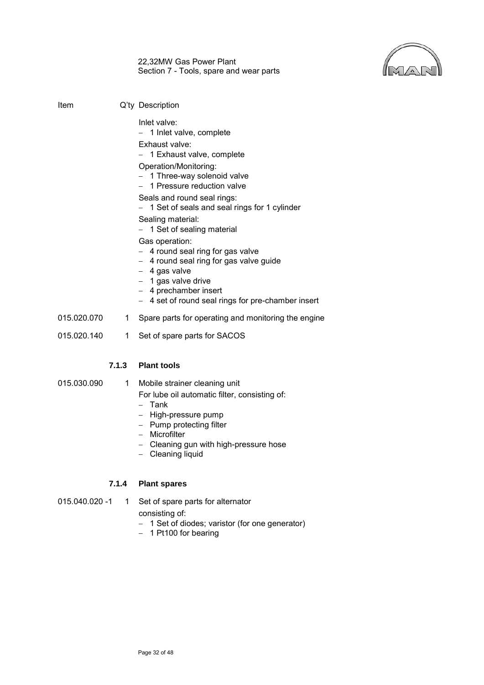

22,32MW Gas Power Plant Section 7 - Tools, spare and wear parts

| Item        |       | Q'ty Description                                                                                                                                                                                                                                                                                                                                                                                                                                                                                                                                   |
|-------------|-------|----------------------------------------------------------------------------------------------------------------------------------------------------------------------------------------------------------------------------------------------------------------------------------------------------------------------------------------------------------------------------------------------------------------------------------------------------------------------------------------------------------------------------------------------------|
|             |       | Inlet valve:<br>- 1 Inlet valve, complete<br>Exhaust valve:<br>1 Exhaust valve, complete<br>Operation/Monitoring:<br>- 1 Three-way solenoid valve<br>- 1 Pressure reduction valve<br>Seals and round seal rings:<br>1 Set of seals and seal rings for 1 cylinder<br>Sealing material:<br>- 1 Set of sealing material<br>Gas operation:<br>- 4 round seal ring for gas valve<br>- 4 round seal ring for gas valve guide<br>- 4 gas valve<br>- 1 gas valve drive<br>- 4 prechamber insert<br>4 set of round seal rings for pre-chamber insert<br>$-$ |
| 015.020.070 | 1.    | Spare parts for operating and monitoring the engine                                                                                                                                                                                                                                                                                                                                                                                                                                                                                                |
| 015.020.140 | 1     | Set of spare parts for SACOS                                                                                                                                                                                                                                                                                                                                                                                                                                                                                                                       |
|             | 7.1.3 | <b>Plant tools</b>                                                                                                                                                                                                                                                                                                                                                                                                                                                                                                                                 |

015.030.090 1 Mobile strainer cleaning unit

For lube oil automatic filter, consisting of:

- − Tank
- − High-pressure pump
- − Pump protecting filter
- − Microfilter
- − Cleaning gun with high-pressure hose
- − Cleaning liquid

## **7.1.4 Plant spares**

- 015.040.020 -1 1 Set of spare parts for alternator
	- consisting of:
	- − 1 Set of diodes; varistor (for one generator)
	- − 1 Pt100 for bearing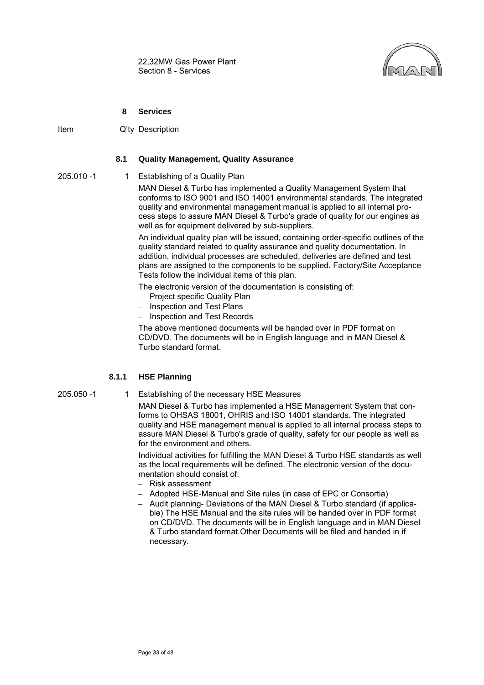

#### **8 Services**

<span id="page-34-1"></span><span id="page-34-0"></span>Item Q'ty Description

#### **8.1 Quality Management, Quality Assurance**

- 
- 205.010 -1 1 Establishing of a Quality Plan

MAN Diesel & Turbo has implemented a Quality Management System that conforms to ISO 9001 and ISO 14001 environmental standards. The integrated quality and environmental management manual is applied to all internal process steps to assure MAN Diesel & Turbo's grade of quality for our engines as well as for equipment delivered by sub-suppliers.

An individual quality plan will be issued, containing order-specific outlines of the quality standard related to quality assurance and quality documentation. In addition, individual processes are scheduled, deliveries are defined and test plans are assigned to the components to be supplied. Factory/Site Acceptance Tests follow the individual items of this plan.

The electronic version of the documentation is consisting of:

- − Project specific Quality Plan
- − Inspection and Test Plans
- − Inspection and Test Records

The above mentioned documents will be handed over in PDF format on CD/DVD. The documents will be in English language and in MAN Diesel & Turbo standard format.

#### **8.1.1 HSE Planning**

- 
- 205.050 -1 1 Establishing of the necessary HSE Measures

MAN Diesel & Turbo has implemented a HSE Management System that conforms to OHSAS 18001, OHRIS and ISO 14001 standards. The integrated quality and HSE management manual is applied to all internal process steps to assure MAN Diesel & Turbo's grade of quality, safety for our people as well as for the environment and others.

Individual activities for fulfilling the MAN Diesel & Turbo HSE standards as well as the local requirements will be defined. The electronic version of the documentation should consist of:

- − Risk assessment
- − Adopted HSE-Manual and Site rules (in case of EPC or Consortia)
- − Audit planning- Deviations of the MAN Diesel & Turbo standard (if applicable) The HSE Manual and the site rules will be handed over in PDF format on CD/DVD. The documents will be in English language and in MAN Diesel & Turbo standard format.Other Documents will be filed and handed in if necessary.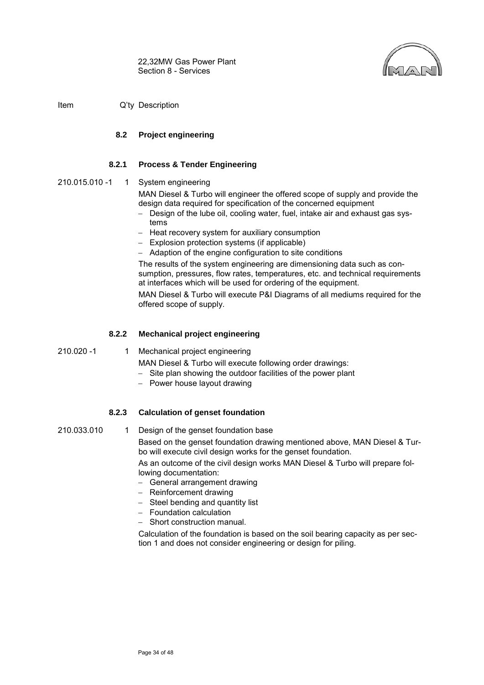

<span id="page-35-0"></span>Item Q'ty Description

## **8.2 Project engineering**

## **8.2.1 Process & Tender Engineering**

210.015.010 -1 1 System engineering

MAN Diesel & Turbo will engineer the offered scope of supply and provide the design data required for specification of the concerned equipment

- − Design of the lube oil, cooling water, fuel, intake air and exhaust gas systems
- − Heat recovery system for auxiliary consumption
- − Explosion protection systems (if applicable)
- − Adaption of the engine configuration to site conditions

The results of the system engineering are dimensioning data such as consumption, pressures, flow rates, temperatures, etc. and technical requirements at interfaces which will be used for ordering of the equipment.

MAN Diesel & Turbo will execute P&I Diagrams of all mediums required for the offered scope of supply.

## **8.2.2 Mechanical project engineering**

210.020 -1 1 Mechanical project engineering

MAN Diesel & Turbo will execute following order drawings:

- − Site plan showing the outdoor facilities of the power plant
- − Power house layout drawing

## **8.2.3 Calculation of genset foundation**

210.033.010 1 Design of the genset foundation base

Based on the genset foundation drawing mentioned above, MAN Diesel & Turbo will execute civil design works for the genset foundation.

As an outcome of the civil design works MAN Diesel & Turbo will prepare following documentation:

- − General arrangement drawing
- − Reinforcement drawing
- − Steel bending and quantity list
- − Foundation calculation
- − Short construction manual.

Calculation of the foundation is based on the soil bearing capacity as per section 1 and does not consider engineering or design for piling.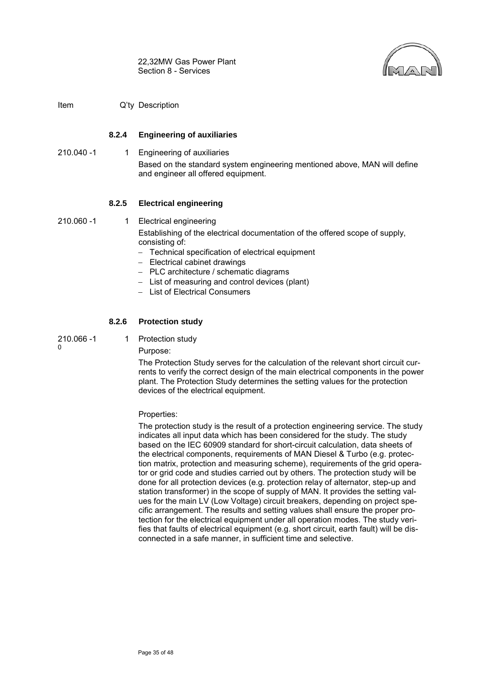

Item Q'ty Description

## **8.2.4 Engineering of auxiliaries**

210.040 -1 1 Engineering of auxiliaries Based on the standard system engineering mentioned above, MAN will define and engineer all offered equipment.

## **8.2.5 Electrical engineering**

210.060 -1 1 Electrical engineering

Establishing of the electrical documentation of the offered scope of supply, consisting of:

- − Technical specification of electrical equipment
- − Electrical cabinet drawings
- − PLC architecture / schematic diagrams
- − List of measuring and control devices (plant)
- − List of Electrical Consumers

## **8.2.6 Protection study**

210.066 -1 0

1 Protection study

Purpose:

The Protection Study serves for the calculation of the relevant short circuit currents to verify the correct design of the main electrical components in the power plant. The Protection Study determines the setting values for the protection devices of the electrical equipment.

## Properties:

The protection study is the result of a protection engineering service. The study indicates all input data which has been considered for the study. The study based on the IEC 60909 standard for short-circuit calculation, data sheets of the electrical components, requirements of MAN Diesel & Turbo (e.g. protection matrix, protection and measuring scheme), requirements of the grid operator or grid code and studies carried out by others. The protection study will be done for all protection devices (e.g. protection relay of alternator, step-up and station transformer) in the scope of supply of MAN. It provides the setting values for the main LV (Low Voltage) circuit breakers, depending on project specific arrangement. The results and setting values shall ensure the proper protection for the electrical equipment under all operation modes. The study verifies that faults of electrical equipment (e.g. short circuit, earth fault) will be disconnected in a safe manner, in sufficient time and selective.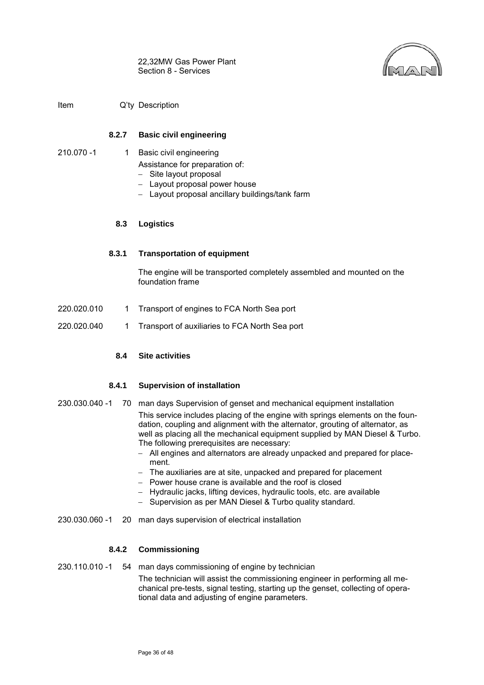

Item Q'ty Description

## **8.2.7 Basic civil engineering**

<span id="page-37-0"></span>210.070 -1 1 Basic civil engineering

Assistance for preparation of:

- − Site layout proposal
- − Layout proposal power house
- − Layout proposal ancillary buildings/tank farm

#### **8.3 Logistics**

#### **8.3.1 Transportation of equipment**

The engine will be transported completely assembled and mounted on the foundation frame

- 220.020.010 1 Transport of engines to FCA North Sea port
- <span id="page-37-1"></span>220.020.040 1 Transport of auxiliaries to FCA North Sea port

## **8.4 Site activities**

#### **8.4.1 Supervision of installation**

- 230.030.040 -1 70 man days Supervision of genset and mechanical equipment installation This service includes placing of the engine with springs elements on the foundation, coupling and alignment with the alternator, grouting of alternator, as well as placing all the mechanical equipment supplied by MAN Diesel & Turbo. The following prerequisites are necessary:
	- − All engines and alternators are already unpacked and prepared for placement.
	- − The auxiliaries are at site, unpacked and prepared for placement
	- − Power house crane is available and the roof is closed
	- − Hydraulic jacks, lifting devices, hydraulic tools, etc. are available
	- − Supervision as per MAN Diesel & Turbo quality standard.
- 230.030.060 -1 20 man days supervision of electrical installation

#### **8.4.2 Commissioning**

230.110.010 -1 54 man days commissioning of engine by technician The technician will assist the commissioning engineer in performing all mechanical pre-tests, signal testing, starting up the genset, collecting of operational data and adjusting of engine parameters.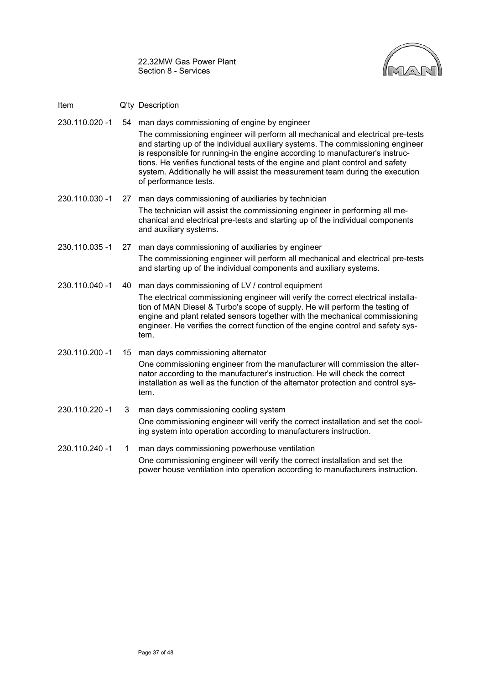

- Item Q'ty Description
- 230.110.020 -1 54 man days commissioning of engine by engineer

The commissioning engineer will perform all mechanical and electrical pre-tests and starting up of the individual auxiliary systems. The commissioning engineer is responsible for running-in the engine according to manufacturer's instructions. He verifies functional tests of the engine and plant control and safety system. Additionally he will assist the measurement team during the execution of performance tests.

- 230.110.030 -1 27 man days commissioning of auxiliaries by technician The technician will assist the commissioning engineer in performing all mechanical and electrical pre-tests and starting up of the individual components and auxiliary systems.
- 230.110.035 -1 27 man days commissioning of auxiliaries by engineer The commissioning engineer will perform all mechanical and electrical pre-tests and starting up of the individual components and auxiliary systems.
- 230.110.040 -1 40 man days commissioning of LV / control equipment The electrical commissioning engineer will verify the correct electrical installation of MAN Diesel & Turbo's scope of supply. He will perform the testing of engine and plant related sensors together with the mechanical commissioning engineer. He verifies the correct function of the engine control and safety system.
- 230.110.200 -1 15 man days commissioning alternator One commissioning engineer from the manufacturer will commission the alternator according to the manufacturer's instruction. He will check the correct installation as well as the function of the alternator protection and control system.
- 230.110.220 -1 3 man days commissioning cooling system One commissioning engineer will verify the correct installation and set the cooling system into operation according to manufacturers instruction.
- 230.110.240 -1 1 man days commissioning powerhouse ventilation One commissioning engineer will verify the correct installation and set the power house ventilation into operation according to manufacturers instruction.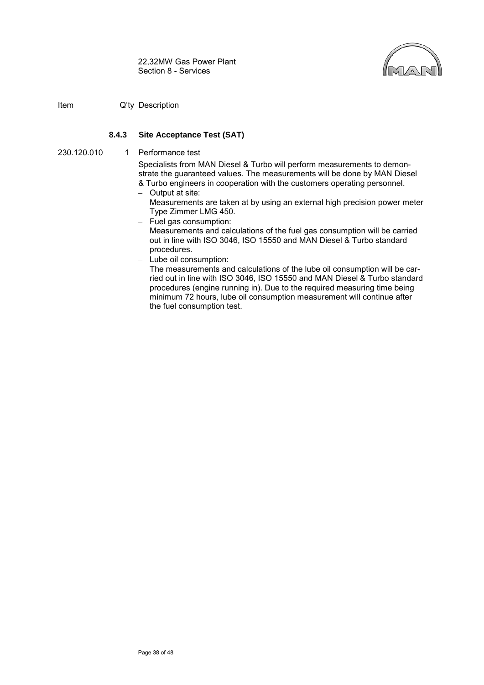

Item Q'ty Description

## **8.4.3 Site Acceptance Test (SAT)**

230.120.010 1 Performance test

Specialists from MAN Diesel & Turbo will perform measurements to demonstrate the guaranteed values. The measurements will be done by MAN Diesel & Turbo engineers in cooperation with the customers operating personnel.

- − Output at site:
	- Measurements are taken at by using an external high precision power meter Type Zimmer LMG 450.
- − Fuel gas consumption:

Measurements and calculations of the fuel gas consumption will be carried out in line with ISO 3046, ISO 15550 and MAN Diesel & Turbo standard procedures.

− Lube oil consumption:

The measurements and calculations of the lube oil consumption will be carried out in line with ISO 3046, ISO 15550 and MAN Diesel & Turbo standard procedures (engine running in). Due to the required measuring time being minimum 72 hours, lube oil consumption measurement will continue after the fuel consumption test.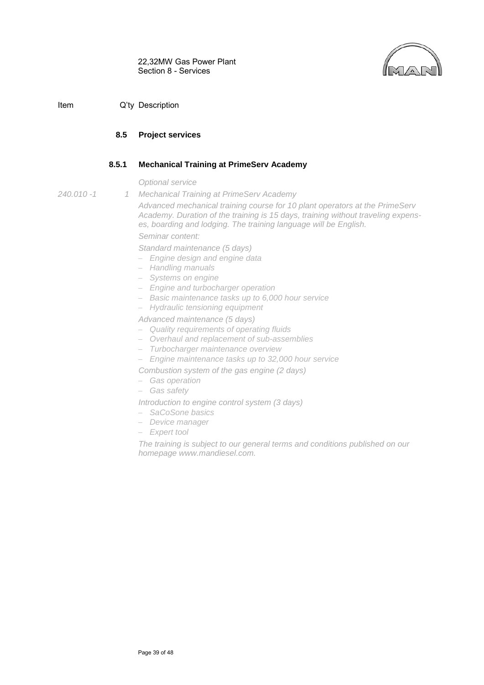

## <span id="page-40-0"></span>**8.5 Project services**

## **8.5.1 Mechanical Training at PrimeServ Academy**

*Optional service*

- *240.010 -1 1*
- *Mechanical Training at PrimeServ Academy*

*Advanced mechanical training course for 10 plant operators at the PrimeServ Academy. Duration of the training is 15 days, training without traveling expenses, boarding and lodging. The training language will be English. Seminar content:*

*Standard maintenance (5 days)*

- − *Engine design and engine data*
- − *Handling manuals*
- − *Systems on engine*
- − *Engine and turbocharger operation*
- − *Basic maintenance tasks up to 6,000 hour service*
- − *Hydraulic tensioning equipment*

*Advanced maintenance (5 days)*

- − *Quality requirements of operating fluids*
- − *Overhaul and replacement of sub-assemblies*
- − *Turbocharger maintenance overview*
- − *Engine maintenance tasks up to 32,000 hour service*
- *Combustion system of the gas engine (2 days)*
- − *Gas operation*
- − *Gas safety*

*Introduction to engine control system (3 days)*

- − *SaCoSone basics*
- − *Device manager*
- − *Expert tool*

*The training is subject to our general terms and conditions published on our homepage www.mandiesel.com.*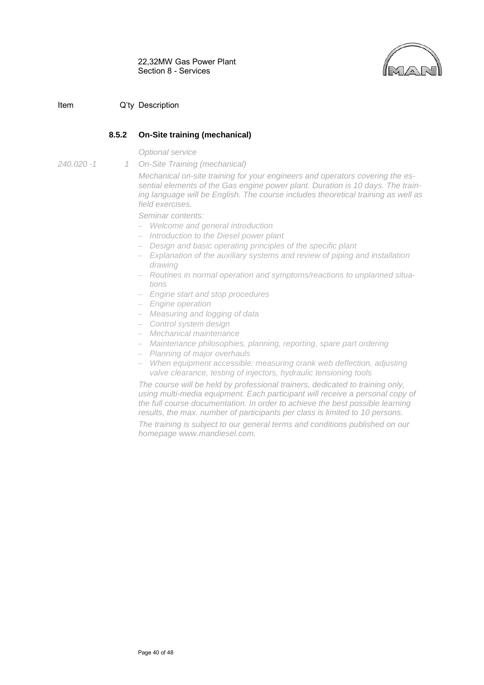## Item Q'ty Description

## **8.5.2 On-Site training (mechanical)**

*On-Site Training (mechanical)*

*Optional service*

*240.020 -1 1* 

*Mechanical on-site training for your engineers and operators covering the essential elements of the Gas engine power plant. Duration is 10 days. The training language will be English. The course includes theoretical training as well as field exercises.*

*Seminar contents:*

- − *Welcome and general introduction*
- − *Introduction to the Diesel power plant*
- − *Design and basic operating principles of the specific plant*
- − *Explanation of the auxiliary systems and review of piping and installation drawing*
- − *Routines in normal operation and symptoms/reactions to unplanned situations*
- − *Engine start and stop procedures*
- − *Engine operation*
- − *Measuring and logging of data*
- − *Control system design*
- − *Mechanical maintenance*
- − *Maintenance philosophies, planning, reporting, spare part ordering*
- − *Planning of major overhauls*
- − *When equipment accessible: measuring crank web deflection, adjusting valve clearance, testing of injectors, hydraulic tensioning tools*

*The course will be held by professional trainers, dedicated to training only, using multi-media equipment. Each participant will receive a personal copy of the full course documentation. In order to achieve the best possible learning results, the max. number of participants per class is limited to 10 persons.*

*The training is subject to our general terms and conditions published on our homepage www.mandiesel.com.*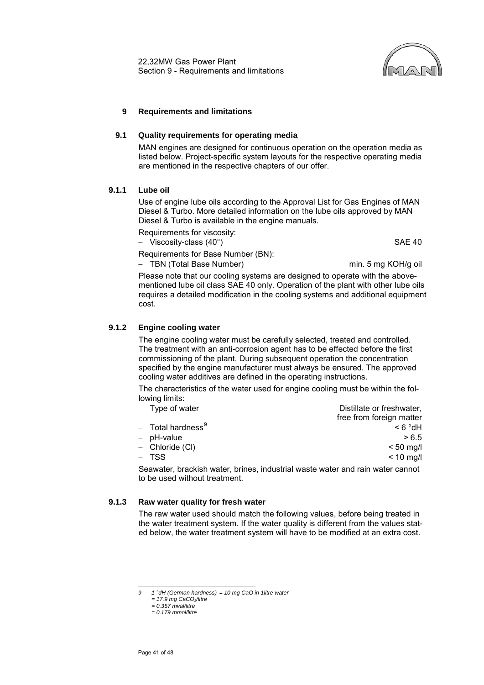

#### <span id="page-42-0"></span>**9 Requirements and limitations**

#### <span id="page-42-1"></span>**9.1 Quality requirements for operating media**

MAN engines are designed for continuous operation on the operation media as listed below. Project-specific system layouts for the respective operating media are mentioned in the respective chapters of our offer.

#### <span id="page-42-2"></span>**9.1.1 Lube oil**

Use of engine lube oils according to the Approval List for Gas Engines of MAN Diesel & Turbo. More detailed information on the lube oils approved by MAN Diesel & Turbo is available in the engine manuals.

Requirements for viscosity:

− Viscosity-class (40°) SAE 40

Requirements for Base Number (BN):

− TBN (Total Base Number) min. 5 mg KOH/g oil

Please note that our cooling systems are designed to operate with the abovementioned lube oil class SAE 40 only. Operation of the plant with other lube oils requires a detailed modification in the cooling systems and additional equipment cost.

## <span id="page-42-3"></span>**9.1.2 Engine cooling water**

The engine cooling water must be carefully selected, treated and controlled. The treatment with an anti-corrosion agent has to be effected before the first commissioning of the plant. During subsequent operation the concentration specified by the engine manufacturer must always be ensured. The approved cooling water additives are defined in the operating instructions.

The characteristics of the water used for engine cooling must be within the following limits:<br>
Type of water

| - Type of water               | Distillate or freshwater,                                                           |
|-------------------------------|-------------------------------------------------------------------------------------|
|                               | free from foreign matter                                                            |
| - Total hardness <sup>9</sup> | $Hb^{\circ}$ $\delta$ >                                                             |
| - pH-value                    | > 6.5                                                                               |
| - Chloride (CI)               | $< 50$ mg/l                                                                         |
| – TSS                         | $< 10$ mg/l                                                                         |
|                               | Coourston, head islamical indicate inductional contractor and relationship assessed |

Seawater, brackish water, brines, industrial waste water and rain water cannot to be used without treatment.

#### **9.1.3 Raw water quality for fresh water**

The raw water used should match the following values, before being treated in the water treatment system. If the water quality is different from the values stated below, the water treatment system will have to be modified at an extra cost.

<span id="page-42-4"></span>*<sup>9 1 °</sup>dH (German hardness) = 10 mg CaO in 1litre water*  $\mathsf{Q}$ 

*<sup>= 17.9</sup> mg CaCO3/litre = 0.357 mval/litre*

*<sup>= 0.179</sup> mmol/litre*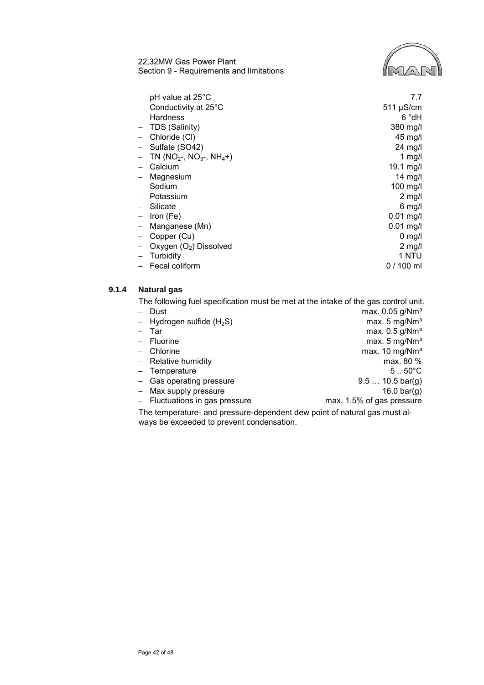22,32MW Gas Power Plant Section 9 - Requirements and limitations



| pH value at 25°C                | 7.7               |
|---------------------------------|-------------------|
| Conductivity at 25°C            | $511 \mu S/cm$    |
| <b>Hardness</b>                 | 6 °dH             |
| TDS (Salinity)                  | 380 mg/l          |
| Chloride (CI)                   | 45 mg/l           |
| Sulfate (SO42)                  | $24 \text{ mg/l}$ |
| TN ( $NO2$ -, $NO3$ -, $NH4$ +) | 1 mg/l            |
| Calcium                         | 19.1 mg/l         |
| Magnesium                       | $14$ mg/l         |
| Sodium                          | 100 mg/l          |
| Potassium                       | $2 \text{ mg/l}$  |
| Silicate                        | $6 \text{ mg/l}$  |
| Iron (Fe)                       | $0.01$ mg/l       |
| Manganese (Mn)                  | $0.01$ mg/l       |
| Copper (Cu)                     | $0$ mg/l          |
| Oxygen $(O_2)$ Dissolved        | $2$ mg/l          |
| Turbidity                       | 1 NTU             |
| Fecal coliform                  | $0/100$ ml        |

# <span id="page-43-0"></span>**9.1.4 Natural gas**

The following fuel specification must be met at the intake of the gas control unit.

| - Dust                                                                    | max. 0.05 g/Nm <sup>3</sup>      |  |
|---------------------------------------------------------------------------|----------------------------------|--|
| $-$ Hydrogen sulfide (H <sub>2</sub> S)                                   | max. $5 \text{ mg}/\text{Nm}^3$  |  |
| $-$ Tar                                                                   | max. $0.5$ g/Nm <sup>3</sup>     |  |
| $-$ Fluorine                                                              | max. $5 \text{ mg}/\text{Nm}^3$  |  |
| $-$ Chlorine                                                              | max. $10 \text{ mg}/\text{Nm}^3$ |  |
| $-$ Relative humidity                                                     | max. 80 %                        |  |
| - Temperature                                                             | $51$ . 50 $^{\circ}$ C           |  |
| - Gas operating pressure                                                  | $9.5 10.5 \text{ bar}(q)$        |  |
| - Max supply pressure                                                     | 16.0 bar(g)                      |  |
| $-$ Fluctuations in gas pressure                                          | max. 1.5% of gas pressure        |  |
| The temperature, and pressure dependent dew point of patural ass must al- |                                  |  |

The temperature- and pressure-dependent dew point of natural gas must always be exceeded to prevent condensation.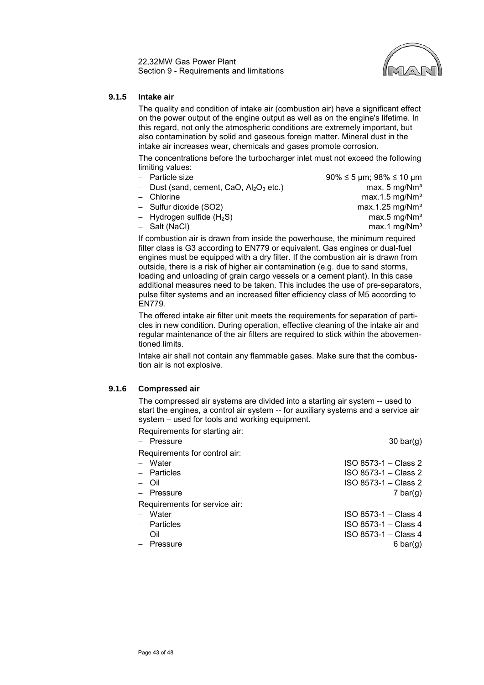22,32MW Gas Power Plant Section 9 - Requirements and limitations



## <span id="page-44-0"></span>**9.1.5 Intake air**

The quality and condition of intake air (combustion air) have a significant effect on the power output of the engine output as well as on the engine's lifetime. In this regard, not only the atmospheric conditions are extremely important, but also contamination by solid and gaseous foreign matter. Mineral dust in the intake air increases wear, chemicals and gases promote corrosion.

The concentrations before the turbocharger inlet must not exceed the following limiting values:

- 
- Dust (sand, cement, CaO, Al<sub>2</sub>O<sub>3</sub> etc.) max. 5 mg/Nm<sup>3</sup>
- 
- 
- 
- 

− Particle size 90% ≤ 5 µm; 98% ≤ 10 µm − Chlorine max.1.5 mg/Nm³ − Sulfur dioxide (SO2) max.1.25 mg/Nm³ − Hydrogen sulfide (H<sub>2</sub>S) max.5 mg/Nm<sup>3</sup><br>
Salt (NaCl) max.1 mg/Nm<sup>3</sup>  $max.1$  mg/Nm<sup>3</sup>

If combustion air is drawn from inside the powerhouse, the minimum required filter class is G3 according to EN779 or equivalent. Gas engines or dual-fuel engines must be equipped with a dry filter. If the combustion air is drawn from outside, there is a risk of higher air contamination (e.g. due to sand storms, loading and unloading of grain cargo vessels or a cement plant). In this case additional measures need to be taken. This includes the use of pre-separators, pulse filter systems and an increased filter efficiency class of M5 according to EN779*.*

The offered intake air filter unit meets the requirements for separation of particles in new condition. During operation, effective cleaning of the intake air and regular maintenance of the air filters are required to stick within the abovementioned limits.

Intake air shall not contain any flammable gases. Make sure that the combustion air is not explosive.

#### **9.1.6 Compressed air**

The compressed air systems are divided into a starting air system -- used to start the engines, a control air system -- for auxiliary systems and a service air system – used for tools and working equipment.

Requirements for starting air:

| - Pressure                    | $30 \text{ bar}(q)$  |
|-------------------------------|----------------------|
| Requirements for control air: |                      |
| - Water                       | ISO 8573-1 - Class 2 |
| - Particles                   | ISO 8573-1 - Class 2 |
| – Oil                         | ISO 8573-1 - Class 2 |
| - Pressure                    | 7 bar(g)             |
| Requirements for service air: |                      |
| - Water                       | ISO 8573-1 - Class 4 |
| $-$ Particles                 | ISO 8573-1 - Class 4 |
| – Oil                         | ISO 8573-1 - Class 4 |
| Pressure                      | $6 \text{ bar}(q)$   |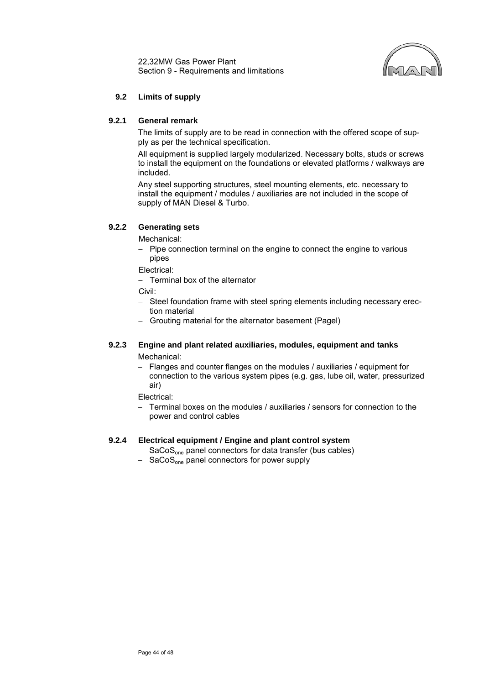22,32MW Gas Power Plant Section 9 - Requirements and limitations



## **9.2 Limits of supply**

## <span id="page-45-0"></span>**9.2.1 General remark**

The limits of supply are to be read in connection with the offered scope of supply as per the technical specification.

All equipment is supplied largely modularized. Necessary bolts, studs or screws to install the equipment on the foundations or elevated platforms / walkways are included.

Any steel supporting structures, steel mounting elements, etc. necessary to install the equipment / modules / auxiliaries are not included in the scope of supply of MAN Diesel & Turbo.

#### **9.2.2 Generating sets**

Mechanical:

− Pipe connection terminal on the engine to connect the engine to various pipes

Electrical:

− Terminal box of the alternator

Civil:

- − Steel foundation frame with steel spring elements including necessary erection material
- − Grouting material for the alternator basement (Pagel)

#### **9.2.3 Engine and plant related auxiliaries, modules, equipment and tanks** Mechanical:

− Flanges and counter flanges on the modules / auxiliaries / equipment for connection to the various system pipes (e.g. gas, lube oil, water, pressurized air)

Electrical:

− Terminal boxes on the modules / auxiliaries / sensors for connection to the power and control cables

## **9.2.4 Electrical equipment / Engine and plant control system**

- − SaCoSone panel connectors for data transfer (bus cables)
- − SaCoSone panel connectors for power supply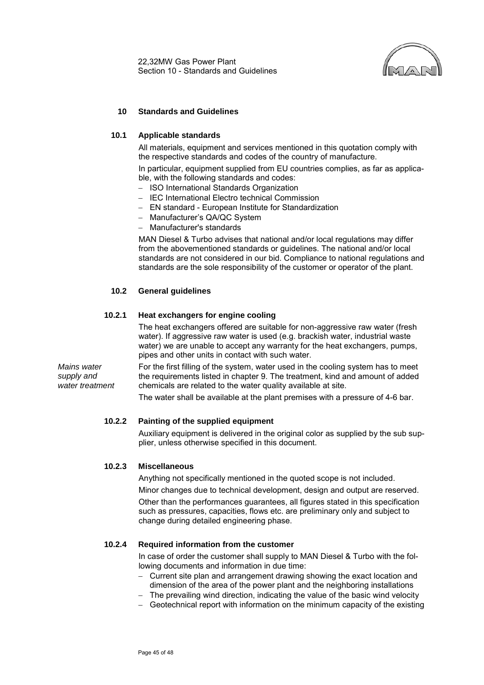

## <span id="page-46-0"></span>**10 Standards and Guidelines**

#### <span id="page-46-1"></span>**10.1 Applicable standards**

All materials, equipment and services mentioned in this quotation comply with the respective standards and codes of the country of manufacture.

In particular, equipment supplied from EU countries complies, as far as applicable, with the following standards and codes:

- − ISO International Standards Organization
- − IEC International Electro technical Commission
- − EN standard European Institute for Standardization
- − Manufacturer's QA/QC System
- − Manufacturer's standards

MAN Diesel & Turbo advises that national and/or local regulations may differ from the abovementioned standards or guidelines. The national and/or local standards are not considered in our bid. Compliance to national regulations and standards are the sole responsibility of the customer or operator of the plant.

## <span id="page-46-2"></span>**10.2 General guidelines**

#### **10.2.1 Heat exchangers for engine cooling**

The heat exchangers offered are suitable for non-aggressive raw water (fresh water). If aggressive raw water is used (e.g. brackish water, industrial waste water) we are unable to accept any warranty for the heat exchangers, pumps, pipes and other units in contact with such water.

*Mains water supply and water treatment* For the first filling of the system, water used in the cooling system has to meet the requirements listed in chapter 9. The treatment, kind and amount of added chemicals are related to the water quality available at site.

The water shall be available at the plant premises with a pressure of 4-6 bar.

## **10.2.2 Painting of the supplied equipment**

Auxiliary equipment is delivered in the original color as supplied by the sub supplier, unless otherwise specified in this document.

#### **10.2.3 Miscellaneous**

Anything not specifically mentioned in the quoted scope is not included.

Minor changes due to technical development, design and output are reserved. Other than the performances guarantees, all figures stated in this specification such as pressures, capacities, flows etc. are preliminary only and subject to change during detailed engineering phase.

#### **10.2.4 Required information from the customer**

In case of order the customer shall supply to MAN Diesel & Turbo with the following documents and information in due time:

- − Current site plan and arrangement drawing showing the exact location and dimension of the area of the power plant and the neighboring installations
- − The prevailing wind direction, indicating the value of the basic wind velocity
- − Geotechnical report with information on the minimum capacity of the existing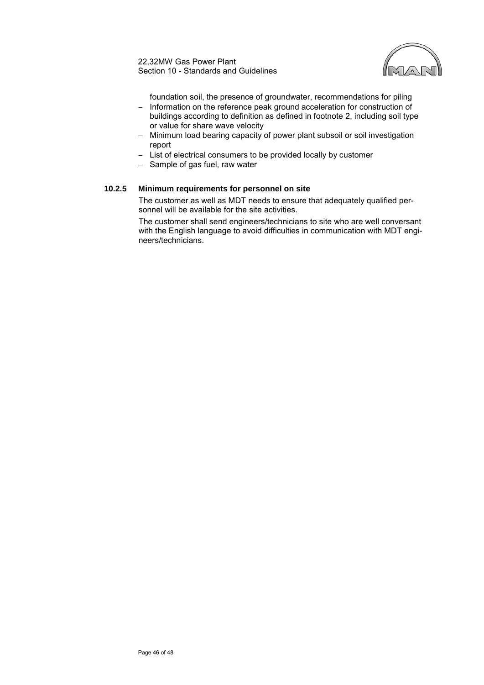

foundation soil, the presence of groundwater, recommendations for piling

- − Information on the reference peak ground acceleration for construction of buildings according to definition as defined in footnote [2,](#page-3-2) including soil type or value for share wave velocity
- − Minimum load bearing capacity of power plant subsoil or soil investigation report
- − List of electrical consumers to be provided locally by customer
- − Sample of gas fuel, raw water

## **10.2.5 Minimum requirements for personnel on site**

The customer as well as MDT needs to ensure that adequately qualified personnel will be available for the site activities.

The customer shall send engineers/technicians to site who are well conversant with the English language to avoid difficulties in communication with MDT engineers/technicians.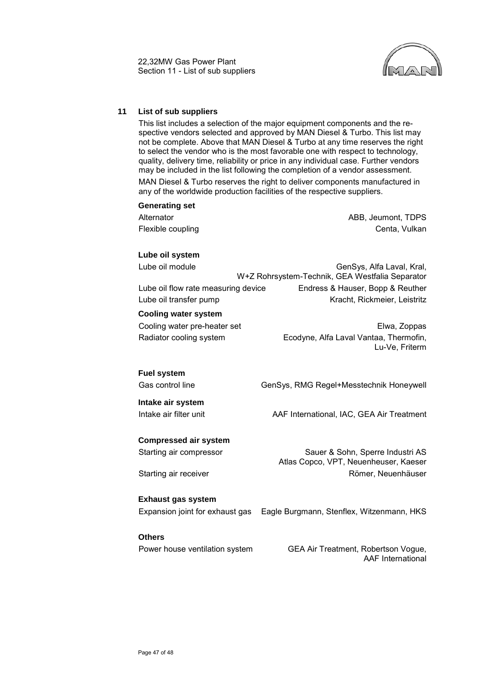

## <span id="page-48-0"></span>**11 List of sub suppliers**

This list includes a selection of the major equipment components and the respective vendors selected and approved by MAN Diesel & Turbo. This list may not be complete. Above that MAN Diesel & Turbo at any time reserves the right to select the vendor who is the most favorable one with respect to technology, quality, delivery time, reliability or price in any individual case. Further vendors may be included in the list following the completion of a vendor assessment. MAN Diesel & Turbo reserves the right to deliver components manufactured in any of the worldwide production facilities of the respective suppliers.

## **Generating set**

Alternator **ABB, Jeumont, TDPS** Flexible coupling Centa, Vulkan

#### **Lube oil system**

Lube oil module General Communication of General General, General, Kral, General, General, General, General, G W+Z Rohrsystem-Technik, GEA Westfalia Separator Lube oil flow rate measuring device Endress & Hauser, Bopp & Reuther Lube oil transfer pump Kracht, Rickmeier, Leistritz

#### **Cooling water system**

Cooling water pre-heater set [Elwa, Zoppas](http://www.elwa.com/) Radiator cooling system Ecodyne, Alfa Laval Vantaa, Thermofin, Lu-Ve, Friterm

## **Fuel system**

Gas control line GenSys, RMG Regel+Messtechnik Honeywell

**Intake air system** Intake air filter unit **[AAF International, IAC, GEA Air Treatment](http://www.aafintl.com/)** 

## **Compressed air system**

Starting air compressor Sauer & Sohn, Sperre Industri AS

Starting air receiver **Römer, Neuenhäuser** Römer, Neuenhäuser

#### **Exhaust gas system**

Expansion joint for exhaust gas Eagle Burgmann, Stenflex, Witzenmann, HKS

## **Others**

Power house ventilation system GEA Air Treatment, Robertson Vogue,

AAF International

Atlas Copco, VPT, Neuenheuser, Kaeser